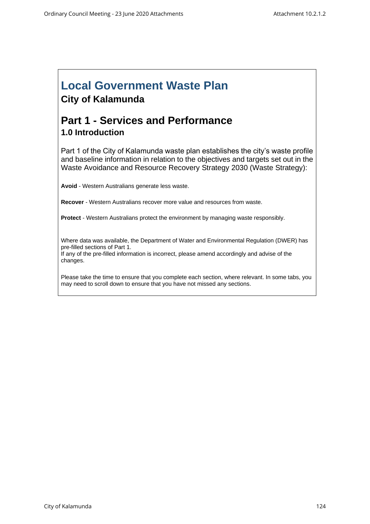## **Local Government Waste Plan City of Kalamunda**

## **Part 1 - Services and Performance 1.0 Introduction**

Part 1 of the City of Kalamunda waste plan establishes the city's waste profile and baseline information in relation to the objectives and targets set out in the Waste Avoidance and Resource Recovery Strategy 2030 (Waste Strategy):

**Avoid** - Western Australians generate less waste.

**Recover** - Western Australians recover more value and resources from waste.

**Protect** - Western Australians protect the environment by managing waste responsibly.

Where data was available, the Department of Water and Environmental Regulation (DWER) has pre-filled sections of Part 1. If any of the pre-filled information is incorrect, please amend accordingly and advise of the changes.

Please take the time to ensure that you complete each section, where relevant. In some tabs, you may need to scroll down to ensure that you have not missed any sections.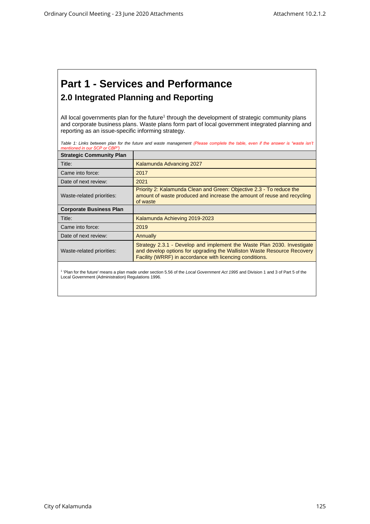## **Part 1 - Services and Performance 2.0 Integrated Planning and Reporting**

All local governments plan for the future<sup>1</sup> through the development of strategic community plans and corporate business plans. Waste plans form part of local government integrated planning and reporting as an issue-specific informing strategy.

Table 1: Links between plan for the future and waste management (Please complete the table, even if the answer is "waste isn't *mentioned in our SCP or CBP")*

| <b>Strategic Community Plan</b> |                                                                                                                                                                                                                |
|---------------------------------|----------------------------------------------------------------------------------------------------------------------------------------------------------------------------------------------------------------|
| Title:                          | Kalamunda Advancing 2027                                                                                                                                                                                       |
| Came into force:                | 2017                                                                                                                                                                                                           |
| Date of next review:            | 2021                                                                                                                                                                                                           |
| Waste-related priorities:       | Priority 2: Kalamunda Clean and Green: Objective 2.3 - To reduce the<br>amount of waste produced and increase the amount of reuse and recycling<br>of waste                                                    |
| <b>Corporate Business Plan</b>  |                                                                                                                                                                                                                |
| Title:                          | Kalamunda Achieving 2019-2023                                                                                                                                                                                  |
| Came into force:                | 2019                                                                                                                                                                                                           |
| Date of next review:            | Annually                                                                                                                                                                                                       |
| Waste-related priorities:       | Strategy 2.3.1 - Develop and implement the Waste Plan 2030. Investigate<br>and develop options for upgrading the Walliston Waste Resource Recovery<br>Facility (WRRF) in accordance with licencing conditions. |
|                                 |                                                                                                                                                                                                                |

<sup>1</sup> 'Plan for the future' means a plan made under section 5.56 of the *Local Government Act 1995* and Division 1 and 3 of Part 5 of the Local Government (Administration) Regulations 1996.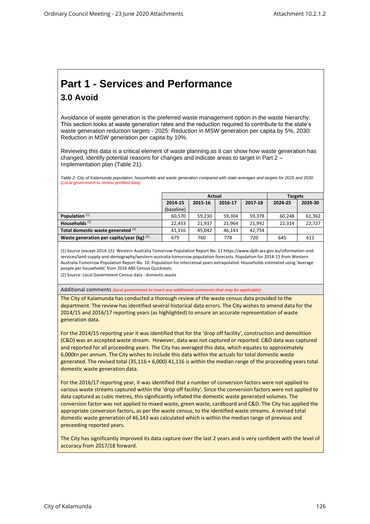## **Part 1 - Services and Performance 3.0 Avoid**

Avoidance of waste generation is the preferred waste management option in the waste hierarchy. This section looks at waste generation rates and the reduction required to contribute to the state's waste generation reduction targets - 2025: Reduction in MSW generation per capita by 5%, 2030: Reduction in MSW generation per capita by 10%.

Reviewing this data is a critical element of waste planning as it can show how waste generation has changed, identify potential reasons for changes and indicate areas to target in Part 2 – Implementation plan (Table 21).

*Table 2: City of Kalamunda population, households and waste generation compared with state averages and targets for 2025 and 2030 (Local government to review prefilled data)*

|                                             | Actual     |         |         |         | <b>Targets</b> |        |
|---------------------------------------------|------------|---------|---------|---------|----------------|--------|
|                                             | 2014-15    | 2015-16 | 2024-25 | 2029-30 |                |        |
|                                             | (baseline) |         |         |         |                |        |
| Population $(1)$                            | 60.570     | 59.230  | 59.304  | 59,378  | 60.248         | 61,362 |
| Households <sup>(1)</sup>                   | 22.433     | 21.937  | 21.964  | 21.992  | 22.314         | 22.727 |
| Total domestic waste generated (2)          | 41.116     | 45.042  | 46.143  | 42.754  |                |        |
| Waste generation per capita/year (kg) $(2)$ | 679        | 760     | 778     | 720     | 645            | 611    |

(1) Source (except 2014-15): Western Australia Tomorrow Population Report No. 11 https://www.dplh.wa.gov.au/information-andservices/land-supply-and-demography/western-australia-tomorrow-population-forecasts. Population for 2014-15 from Western Australia Tomorrow Population Report No. 10. Population for intercensal years extrapolated. Households estimated using 'Average people per households' from 2016 ABS Census Quickstats.

(2) Source: Local Government Census data - domestic waste

Additional comments *(local government to insert any additional comments that may be applicable)*

The City of Kalamunda has conducted a thorough review of the waste census data provided to the department. The review has identified several historical data errors. The City wishes to amend data for the 2014/15 and 2016/17 reporting years (as highlighted) to ensure an accurate representation of waste generation data.

For the 2014/15 reporting year it was identified that for the 'drop off facility', construction and demolition (C&D) was an accepted waste stream. However, data was not captured or reported. C&D data was captured and reported for all proceeding years. The City has averaged this data, which equates to approximately 6,000tn per annum. The City wishes to include this data within the actuals for total domestic waste generated. The revised total (35,116 + 6,000) 41,116 is within the median range of the proceeding years total domestic waste generation data.

For the 2016/17 reporting year, it was identified that a number of conversion factors were not applied to various waste streams captured within the 'drop off facility'. Since the conversion factors were not applied to data captured as cubic metres, this significantly inflated the domestic waste generated volumes. The conversion factor was not applied to mixed waste, green waste, cardboard and C&D. The City has applied the appropriate conversion factors, as per the waste census, to the identified waste streams. A revised total domestic waste generation of 46,143 was calculated which is within the median range of previous and preceeding reported years.

The City has significantly improved its data capture over the last 2 years and is very confident with the level of accuracy from 2017/18 forward.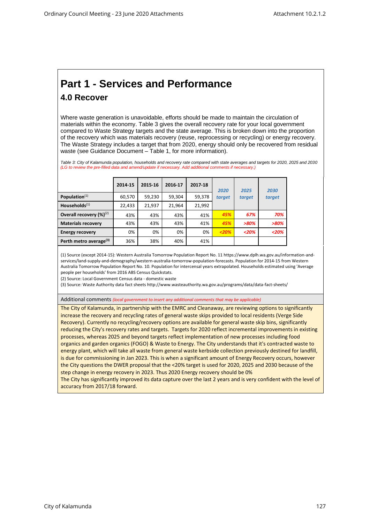# **Part 1 - Services and Performance**

### **4.0 Recover**

Where waste generation is unavoidable, efforts should be made to maintain the circulation of materials within the economy. Table 3 gives the overall recovery rate for your local government compared to Waste Strategy targets and the state average. This is broken down into the proportion of the recovery which was materials recovery (reuse, reprocessing or recycling) or energy recovery. The Waste Strategy includes a target that from 2020, energy should only be recovered from residual waste (see Guidance Document – Table 1, for more information).

*Table 3: City of Kalamunda population, households and recovery rate compared with state averages and targets for 2020, 2025 and 2030 (LG to review the pre-filled data and amend/update if necessary. Add additional comments if necessary.)*

|                                    | 2014-15 | 2015-16 | 2016-17 | 2017-18 | 2020   | 2025    | 2030    |
|------------------------------------|---------|---------|---------|---------|--------|---------|---------|
| Population <sup>(1)</sup>          | 60,570  | 59,230  | 59,304  | 59,378  | target | target  | target  |
| Households $^{(1)}$                | 22,433  | 21,937  | 21,964  | 21,992  |        |         |         |
| Overall recovery $(\%)^{(2)}$      | 43%     | 43%     | 43%     | 41%     | 45%    | 67%     | 70%     |
| <b>Materials recovery</b>          | 43%     | 43%     | 43%     | 41%     | 45%    | $>80\%$ | $>80\%$ |
| <b>Energy recovery</b>             | 0%      | 0%      | 0%      | 0%      | < 20%  | < 20%   | < 20%   |
| Perth metro average <sup>(3)</sup> | 36%     | 38%     | 40%     | 41%     |        |         |         |

(1) Source (except 2014-15): Western Australia Tomorrow Population Report No. 11 https://www.dplh.wa.gov.au/information-andservices/land-supply-and-demography/western-australia-tomorrow-population-forecasts. Population for 2014-15 from Western Australia Tomorrow Population Report No. 10. Population for intercensal years extrapolated. Households estimated using 'Average people per households' from 2016 ABS Census Quickstats.

(2) Source: Local Government Census data - domestic waste

(3) Source: Waste Authority data fact sheets http://www.wasteauthority.wa.gov.au/programs/data/data-fact-sheets/

#### Additional comments *(local government to insert any additional comments that may be applicable)*

The City of Kalamunda, in partnership with the EMRC and Cleanaway, are reviewing options to significantly increase the recovery and recycling rates of general waste skips provided to local residents (Verge Side Recovery). Currently no recycling/recovery options are available for general waste skip bins, significantly reducing the City's recovery rates and targets. Targets for 2020 reflect incremental improvements in existing processes, whereas 2025 and beyond targets reflect implementation of new processes including food organics and garden organics (FOGO) & Waste to Energy. The City understands that it's contracted waste to energy plant, which will take all waste from general waste kerbside collection previously destined for landfill, is due for commissioning in Jan 2023. This is when a significant amount of Energy Recovery occurs, however the City questions the DWER proposal that the <20% target is used for 2020, 2025 and 2030 because of the step change in energy recovery in 2023. Thus 2020 Energy recovery should be 0%

The City has significantly improved its data capture over the last 2 years and is very confident with the level of accuracy from 2017/18 forward.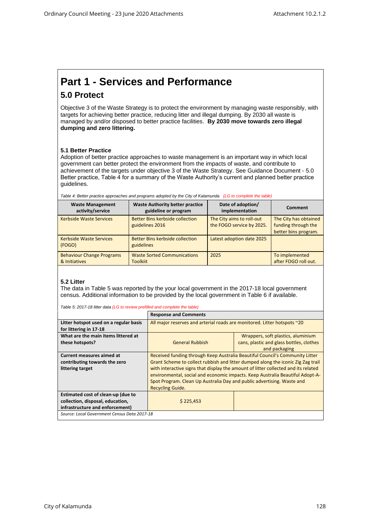# **Part 1 - Services and Performance**

## **5.0 Protect**

Objective 3 of the Waste Strategy is to protect the environment by managing waste responsibly, with targets for achieving better practice, reducing litter and illegal dumping. By 2030 all waste is managed by and/or disposed to better practice facilities. **By 2030 move towards zero illegal dumping and zero littering.**

#### **5.1 Better Practice**

Adoption of better practice approaches to waste management is an important way in which local government can better protect the environment from the impacts of waste, and contribute to achievement of the targets under objective 3 of the Waste Strategy. See Guidance Document - 5.0 Better practice, Table 4 for a summary of the Waste Authority's current and planned better practice guidelines.

| rable 4: Better practice approaches and programs adopted by the City of Kalamunda - [LG to complete the table) |                                                                |                                                        |                                                                      |  |  |
|----------------------------------------------------------------------------------------------------------------|----------------------------------------------------------------|--------------------------------------------------------|----------------------------------------------------------------------|--|--|
| <b>Waste Management</b><br>activity/service                                                                    | <b>Waste Authority better practice</b><br>guideline or program | Date of adoption/<br>implementation                    | <b>Comment</b>                                                       |  |  |
| <b>Kerbside Waste Services</b>                                                                                 | Better Bins kerbside collection<br>guidelines 2016             | The City aims to roll-out<br>the FOGO service by 2025. | The City has obtained<br>funding through the<br>better bins program. |  |  |
| <b>Kerbside Waste Services</b><br>(FOGO)                                                                       | Better Bins kerbside collection<br>guidelines                  | Latest adoption date 2025                              |                                                                      |  |  |
| <b>Behaviour Change Programs</b><br>& Initiatives                                                              | <b>Waste Sorted Communications</b><br><b>Toolkiit</b>          | 2025                                                   | To implemented<br>after FOGO roll out.                               |  |  |

*Table 4: Better practice approaches and programs adopted by the City of Kalamunda (LG to complete the table)*

#### **5.2 Litter**

The data in Table 5 was reported by the your local government in the 2017-18 local government census. Additional information to be provided by the local government in Table 6 if available.

*Table 5: 2017-18 litter data (LG to review prefilled and complete the table)*

|                                                                  | <b>Response and Comments</b>                                             |                                                                                    |  |  |
|------------------------------------------------------------------|--------------------------------------------------------------------------|------------------------------------------------------------------------------------|--|--|
| Litter hotspot used on a regular basis<br>for littering in 17-18 | All major reserves and arterial roads are monitored. Litter hotspots ~20 |                                                                                    |  |  |
| What are the main items littered at                              |                                                                          | Wrappers, soft plastics, aluminium                                                 |  |  |
| these hotspots?                                                  | <b>General Rubbish</b>                                                   | cans, plastic and glass bottles, clothes                                           |  |  |
|                                                                  |                                                                          | and packaging                                                                      |  |  |
| <b>Current measures aimed at</b>                                 |                                                                          | Received funding through Keep Australia Beautiful Council's Community Litter       |  |  |
| contributing towards the zero                                    |                                                                          | Grant Scheme to collect rubbish and litter dumped along the iconic Zig Zag trail   |  |  |
| littering target                                                 |                                                                          | with interactive signs that display the amount of litter collected and its related |  |  |
|                                                                  |                                                                          | environmental, social and economic impacts. Keep Australia Beautiful Adopt-A-      |  |  |
|                                                                  | Spot Program. Clean Up Australia Day and public advertising. Waste and   |                                                                                    |  |  |
|                                                                  | <b>Recycling Guide.</b>                                                  |                                                                                    |  |  |
| Estimated cost of clean-up (due to                               |                                                                          |                                                                                    |  |  |
| collection, disposal, education,                                 | \$225,453                                                                |                                                                                    |  |  |
| infrastructure and enforcement)                                  |                                                                          |                                                                                    |  |  |
| Source: Local Government Census Data 2017-18                     |                                                                          |                                                                                    |  |  |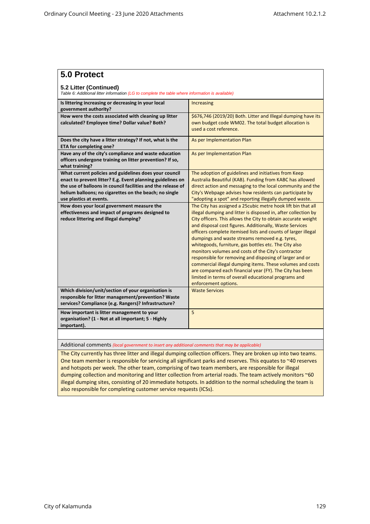| 5.0 Protect                                                                                                                                                                                                                                                               |                                                                                                                                                                                                                                                                                                                                                                                                                                                                                                                                                                                                                                                                                                                                                                    |  |  |  |  |
|---------------------------------------------------------------------------------------------------------------------------------------------------------------------------------------------------------------------------------------------------------------------------|--------------------------------------------------------------------------------------------------------------------------------------------------------------------------------------------------------------------------------------------------------------------------------------------------------------------------------------------------------------------------------------------------------------------------------------------------------------------------------------------------------------------------------------------------------------------------------------------------------------------------------------------------------------------------------------------------------------------------------------------------------------------|--|--|--|--|
| 5.2 Litter (Continued)<br>Table 6: Additional litter information (LG to complete the table where information is available)                                                                                                                                                |                                                                                                                                                                                                                                                                                                                                                                                                                                                                                                                                                                                                                                                                                                                                                                    |  |  |  |  |
| Is littering increasing or decreasing in your local<br>government authority?                                                                                                                                                                                              | Increasing                                                                                                                                                                                                                                                                                                                                                                                                                                                                                                                                                                                                                                                                                                                                                         |  |  |  |  |
| How were the costs associated with cleaning up litter<br>calculated? Employee time? Dollar value? Both?                                                                                                                                                                   | \$676,746 (2019/20) Both. Litter and Illegal dumping have its<br>own budget code WM02. The total budget allocation is<br>used a cost reference.                                                                                                                                                                                                                                                                                                                                                                                                                                                                                                                                                                                                                    |  |  |  |  |
| Does the city have a litter strategy? If not, what is the<br>ETA for completing one?                                                                                                                                                                                      | As per Implementation Plan                                                                                                                                                                                                                                                                                                                                                                                                                                                                                                                                                                                                                                                                                                                                         |  |  |  |  |
| Have any of the city's compliance and waste education<br>officers undergone training on litter prevention? If so,<br>what training?                                                                                                                                       | As per Implementation Plan                                                                                                                                                                                                                                                                                                                                                                                                                                                                                                                                                                                                                                                                                                                                         |  |  |  |  |
| What current policies and guidelines does your council<br>enact to prevent litter? E.g. Event planning guidelines on<br>the use of balloons in council facilities and the release of<br>helium balloons; no cigarettes on the beach; no single<br>use plastics at events. | The adoption of guidelines and initiatives from Keep<br>Australia Beautiful (KAB). Funding from KABC has allowed<br>direct action and messaging to the local community and the<br>City's Webpage advises how residents can participate by<br>"adopting a spot" and reporting illegally dumped waste.                                                                                                                                                                                                                                                                                                                                                                                                                                                               |  |  |  |  |
| How does your local government measure the<br>effectiveness and impact of programs designed to<br>reduce littering and illegal dumping?                                                                                                                                   | The City has assigned a 25 cubic metre hook lift bin that all<br>illegal dumping and litter is disposed in, after collection by<br>City officers. This allows the City to obtain accurate weight<br>and disposal cost figures. Additionally, Waste Services<br>officers complete itemised lists and counts of larger illegal<br>dumpings and waste streams removed e.g. tyres,<br>whitegoods, furniture, gas bottles etc. The City also<br>monitors volumes and costs of the City's contractor<br>responsible for removing and disposing of larger and or<br>commercial illegal dumping items. These volumes and costs<br>are compared each financial year (FY). The City has been<br>limited in terms of overall educational programs and<br>enforcement options. |  |  |  |  |
| Which division/unit/section of your organisation is<br>responsible for litter management/prevention? Waste<br>services? Compliance (e.g. Rangers)? Infrastructure?                                                                                                        | <b>Waste Services</b>                                                                                                                                                                                                                                                                                                                                                                                                                                                                                                                                                                                                                                                                                                                                              |  |  |  |  |
| How important is litter management to your<br>organisation? (1 - Not at all important; 5 - Highly<br>important).                                                                                                                                                          | 5                                                                                                                                                                                                                                                                                                                                                                                                                                                                                                                                                                                                                                                                                                                                                                  |  |  |  |  |
|                                                                                                                                                                                                                                                                           |                                                                                                                                                                                                                                                                                                                                                                                                                                                                                                                                                                                                                                                                                                                                                                    |  |  |  |  |

Additional comments *(local government to insert any additional comments that may be applicable)*

The City currently has three litter and illegal dumping collection officers. They are broken up into two teams. One team member is responsible for servicing all significant parks and reserves. This equates to ~40 reserves and hotspots per week. The other team, comprising of two team members, are responsible for illegal dumping collection and monitoring and litter collection from arterial roads. The team actively monitors ~60 illegal dumping sites, consisting of 20 immediate hotspots. In addition to the normal scheduling the team is also responsible for completing customer service requests (ICSs).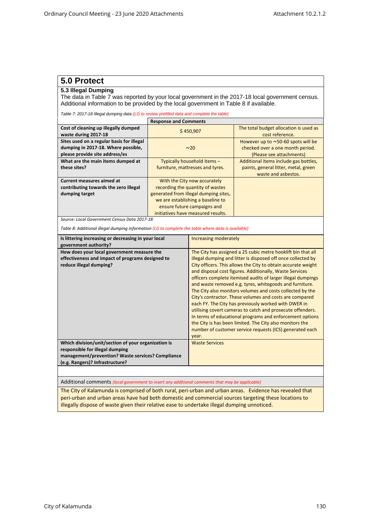### **5.0 Protect**

#### **5.3 Illegal Dumping**

The data in Table 7 was reported by your local government in the 2017-18 local government census. Additional information to be provided by the local government in Table 8 if available.

*Table 7: 2017-18 Illegal dumping data (LG to review prefilled data and complete the table)*

|                                                              | <b>Response and Comments</b>          |                                                           |
|--------------------------------------------------------------|---------------------------------------|-----------------------------------------------------------|
| Cost of cleaning up illegally dumped<br>waste during 2017-18 | \$450.907                             | The total budget allocation is used as<br>cost reference. |
| Sites used on a regular basis for illegal                    |                                       | However up to $\sim$ 50-60 spots will be                  |
| dumping in 2017-18. Where possible,                          | $~1$ $\sim$ 20                        | checked over a one month period.                          |
| please provide site address/es                               |                                       | (Please see attachments)                                  |
| What are the main items dumped at                            | Typically household items -           | Additional items include gas bottles,                     |
| these sites?                                                 | furniture, mattresses and tyres.      | paints, general litter, metal, green                      |
|                                                              |                                       | waste and asbestos.                                       |
| <b>Current measures aimed at</b>                             | With the City now accurately          |                                                           |
| contributing towards the zero illegal                        | recording the quantity of wastes      |                                                           |
| dumping target                                               | generated from illegal dumping sites. |                                                           |
|                                                              | we are establishing a baseline to     |                                                           |
|                                                              | ensure future campaigns and           |                                                           |
|                                                              | initiatives have measured results.    |                                                           |

*Source: Local Government Census Data 2017-18*

*Table 8: Additional illegal dumping information (LG to complete the table where data is available)*

| Is littering increasing or decreasing in your local<br>government authority?                                                                                                   | Increasing moderately                                                                                                                                                                                                                                                                                                                                                                                                                                                                                                                                                                                                                                                                                                                                                                                                          |
|--------------------------------------------------------------------------------------------------------------------------------------------------------------------------------|--------------------------------------------------------------------------------------------------------------------------------------------------------------------------------------------------------------------------------------------------------------------------------------------------------------------------------------------------------------------------------------------------------------------------------------------------------------------------------------------------------------------------------------------------------------------------------------------------------------------------------------------------------------------------------------------------------------------------------------------------------------------------------------------------------------------------------|
| How does your local government measure the<br>effectiveness and impact of programs designed to<br>reduce illegal dumping?                                                      | The City has assigned a 25 cubic metre hooklift bin that all<br>illegal dumping and litter is disposed off once collected by<br>City officers. This allows the City to obtain accurate weight<br>and disposal cost figures. Additionally, Waste Services<br>officers complete itemised audits of larger illegal dumpings<br>and waste removed e.g. tyres, whitegoods and furniture.<br>The City also monitors volumes and costs collected by the<br>City's contractor. These volumes and costs are compared<br>each FY. The City has previously worked with DWER in<br>utilising covert cameras to catch and prosecute offenders.<br>In terms of educational programs and enforcement options<br>the City is has been limited. The City also monitors the<br>number of customer service requests (ICS) generated each<br>year. |
| Which division/unit/section of your organization is<br>responsible for illegal dumping<br>management/prevention? Waste services? Compliance<br>(e.g. Rangers)? Infrastructure? | <b>Waste Services</b>                                                                                                                                                                                                                                                                                                                                                                                                                                                                                                                                                                                                                                                                                                                                                                                                          |

Additional comments *(local government to insert any additional comments that may be applicable)*

The City of Kalamunda is comprised of both rural, peri-urban and urban areas. Evidence has revealed that peri-urban and urban areas have had both domestic and commercial sources targeting these locations to illegally dispose of waste given their relative ease to undertake illegal dumping unnoticed.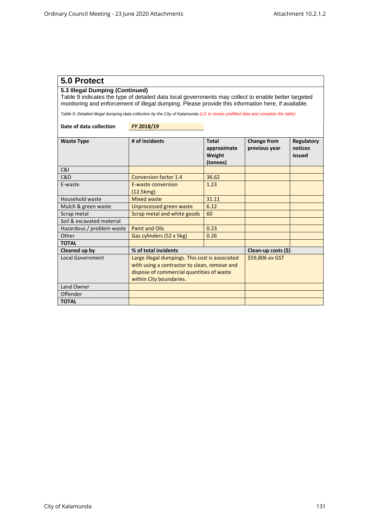### **5.0 Protect**

#### **5.3 Illegal Dumping (Continued)**

Table 9 indicates the type of detailed data local governments may collect to enable better targeted monitoring and enforcement of illegal dumping. Please provide this information here, if available.

*Table 9: Detailed illegal dumping data collection by the City of Kalamunda (LG to review prefilled data and complete the table)*

| Date of data collection | FY 2018/19 |
|-------------------------|------------|
|-------------------------|------------|

| <b>Waste Type</b>         | # of incidents                                                                                                                                                          | <b>Total</b><br>approximate<br>Weight<br>(tonnes) | Change from<br>previous year | Regulatory<br>notices<br>issued |
|---------------------------|-------------------------------------------------------------------------------------------------------------------------------------------------------------------------|---------------------------------------------------|------------------------------|---------------------------------|
| C&I                       |                                                                                                                                                                         |                                                   |                              |                                 |
| C&D                       | <b>Conversion factor 1.4</b>                                                                                                                                            | 36.62                                             |                              |                                 |
| E-waste                   | <b>E-waste conversion</b><br>(12.5kmg)                                                                                                                                  | 1.23                                              |                              |                                 |
| Household waste           | <b>Mixed waste</b>                                                                                                                                                      | 31.11                                             |                              |                                 |
| Mulch & green waste       | <b>Unprocessed green waste</b>                                                                                                                                          | 6.12                                              |                              |                                 |
| Scrap metal               | Scrap metal and white goods                                                                                                                                             | 60                                                |                              |                                 |
| Soil & excavated material |                                                                                                                                                                         |                                                   |                              |                                 |
| Hazardous / problem waste | <b>Paint and Oils</b>                                                                                                                                                   | 0.23                                              |                              |                                 |
| Other                     | Gas cylinders (52 x 5kg)                                                                                                                                                | 0.26                                              |                              |                                 |
| <b>TOTAL</b>              |                                                                                                                                                                         |                                                   |                              |                                 |
| Cleaned up by             | % of total incidents                                                                                                                                                    |                                                   | Clean-up costs (\$)          |                                 |
| <b>Local Government</b>   | Large illegal dumpings. This cost is associated<br>with using a contractor to clean, remove and<br>dispose of commercial quantities of waste<br>within City boundaries. | \$59,806 ex GST                                   |                              |                                 |
| Land Owner                |                                                                                                                                                                         |                                                   |                              |                                 |
| Offender                  |                                                                                                                                                                         |                                                   |                              |                                 |
| <b>TOTAL</b>              |                                                                                                                                                                         |                                                   |                              |                                 |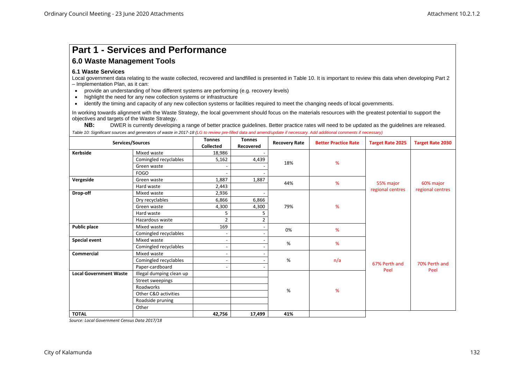# **Part 1 - Services and Performance**

### **6.0 Waste Management Tools**

#### **6.1 Waste Services**

Local government data relating to the waste collected, recovered and landfilled is presented in Table 10. It is important to review this data when developing Part 2 – Implementation Plan, as it can:

- provide an understanding of how different systems are performing (e.g. recovery levels)
- highlight the need for any new collection systems or infrastructure
- identify the timing and capacity of any new collection systems or facilities required to meet the changing needs of local governments.

In working towards alignment with the Waste Strategy, the local government should focus on the materials resources with the greatest potential to support the objectives and targets of the Waste Strategy.

NB: DWER is currently developing a range of better practice guidelines. Better practice rates will need to be updated as the guidelines are released.

*Table 10: Significant sources and generators of waste in 2017-18 (LG to review pre-filled data and amend/update if necessary. Add additional comments if necessary)*

|                               | Services/Sources         | <b>Tonnes</b><br>Collected | <b>Tonnes</b><br>Recovered | <b>Recovery Rate</b> | <b>Better Practice Rate</b> | <b>Target Rate 2025</b> | <b>Target Rate 2030</b> |  |
|-------------------------------|--------------------------|----------------------------|----------------------------|----------------------|-----------------------------|-------------------------|-------------------------|--|
| Kerbside                      | Mixed waste              | 18,986                     |                            |                      |                             |                         |                         |  |
|                               | Comingled recyclables    | 5,162                      | 4,439                      |                      |                             |                         |                         |  |
|                               | Green waste              |                            |                            | 18%                  | %                           |                         |                         |  |
|                               | <b>FOGO</b>              |                            |                            |                      |                             |                         |                         |  |
| Vergeside                     | Green waste              | 1,887                      | 1,887                      | 44%                  | %                           |                         |                         |  |
|                               | Hard waste               | 2,443                      |                            |                      |                             | 55% major               | 60% major               |  |
| Drop-off                      | Mixed waste              | 2,936                      |                            |                      |                             | regional centres        | regional centres        |  |
|                               | Dry recyclables          | 6,866                      | 6,866                      |                      |                             |                         |                         |  |
|                               | Green waste              | 4,300                      | 4,300                      | 79%                  | %                           |                         |                         |  |
|                               | Hard waste               | 5                          |                            |                      |                             |                         |                         |  |
|                               | Hazardous waste          | $\overline{2}$             | $\overline{2}$             |                      |                             |                         |                         |  |
| <b>Public place</b>           | Mixed waste              | 169                        |                            | 0%                   | %                           |                         |                         |  |
|                               | Comingled recyclables    |                            |                            |                      |                             |                         |                         |  |
| <b>Special event</b>          | Mixed waste              |                            |                            | %                    | %                           |                         |                         |  |
|                               | Comingled recyclables    |                            |                            |                      |                             |                         |                         |  |
| <b>Commercial</b>             | Mixed waste              |                            |                            |                      |                             |                         |                         |  |
|                               | Comingled recyclables    |                            |                            | %                    | n/a                         | 67% Perth and           | 70% Perth and           |  |
|                               | Paper-cardboard          |                            |                            |                      |                             | Peel                    | Peel                    |  |
| <b>Local Government Waste</b> | Illegal dumping clean up |                            |                            |                      |                             |                         |                         |  |
|                               | Street sweepings         |                            |                            |                      |                             |                         |                         |  |
|                               | Roadworks                |                            |                            | %                    | %                           |                         |                         |  |
|                               | Other C&D activities     |                            |                            |                      |                             |                         |                         |  |
|                               | Roadside pruning         |                            |                            |                      |                             |                         |                         |  |
|                               | Other                    |                            |                            |                      |                             |                         |                         |  |
| <b>TOTAL</b>                  |                          | 42,756                     | 17,499                     | 41%                  |                             |                         |                         |  |

*Source: Local Government Census Data 2017/18*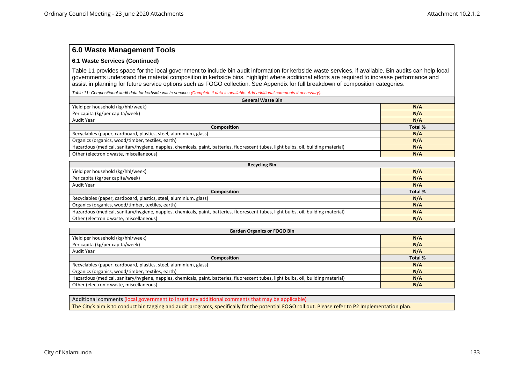#### **6.1 Waste Services (Continued)**

Table 11 provides space for the local government to include bin audit information for kerbside waste services, if available. Bin audits can help local governments understand the material composition in kerbside bins, highlight where additional efforts are required to increase performance and assist in planning for future service options such as FOGO collection. See Appendix for full breakdown of composition categories.

*Table 11: Compositional audit data for kerbside waste services (Complete if data is available. Add additional comments if necessary).*

| <b>General Waste Bin</b>                                                                                                            |                |  |  |
|-------------------------------------------------------------------------------------------------------------------------------------|----------------|--|--|
| Yield per household (kg/hhl/week)                                                                                                   | N/A            |  |  |
| Per capita (kg/per capita/week)                                                                                                     | N/A            |  |  |
| Audit Year                                                                                                                          | N/A            |  |  |
| <b>Composition</b>                                                                                                                  | <b>Total %</b> |  |  |
| Recyclables (paper, cardboard, plastics, steel, aluminium, glass)                                                                   | N/A            |  |  |
| Organics (organics, wood/timber, textiles, earth)                                                                                   | N/A            |  |  |
| Hazardous (medical, sanitary/hygiene, nappies, chemicals, paint, batteries, fluorescent tubes, light bulbs, oil, building material) | N/A            |  |  |
| Other (electronic waste, miscellaneous)                                                                                             | N/A            |  |  |

| <b>Recycling Bin</b>                                                                                                                |         |  |  |  |
|-------------------------------------------------------------------------------------------------------------------------------------|---------|--|--|--|
| Yield per household (kg/hhl/week)                                                                                                   | N/A     |  |  |  |
| Per capita (kg/per capita/week)                                                                                                     | N/A     |  |  |  |
| Audit Year                                                                                                                          | N/A     |  |  |  |
| <b>Composition</b>                                                                                                                  | Total % |  |  |  |
| Recyclables (paper, cardboard, plastics, steel, aluminium, glass)                                                                   | N/A     |  |  |  |
| Organics (organics, wood/timber, textiles, earth)                                                                                   | N/A     |  |  |  |
| Hazardous (medical, sanitary/hygiene, nappies, chemicals, paint, batteries, fluorescent tubes, light bulbs, oil, building material) | N/A     |  |  |  |
| Other (electronic waste, miscellaneous)                                                                                             | N/A     |  |  |  |

| <b>Garden Organics or FOGO Bin</b>                                                                                                  |         |  |  |  |
|-------------------------------------------------------------------------------------------------------------------------------------|---------|--|--|--|
| Yield per household (kg/hhl/week)                                                                                                   | N/A     |  |  |  |
| Per capita (kg/per capita/week)                                                                                                     | N/A     |  |  |  |
| Audit Year                                                                                                                          | N/A     |  |  |  |
| <b>Composition</b>                                                                                                                  | Total % |  |  |  |
| Recyclables (paper, cardboard, plastics, steel, aluminium, glass)                                                                   | N/A     |  |  |  |
| Organics (organics, wood/timber, textiles, earth)                                                                                   | N/A     |  |  |  |
| Hazardous (medical, sanitary/hygiene, nappies, chemicals, paint, batteries, fluorescent tubes, light bulbs, oil, building material) | N/A     |  |  |  |
| Other (electronic waste, miscellaneous)                                                                                             | N/A     |  |  |  |

Additional comments (local government to insert any additional comments that may be applicable) The City's aim is to conduct bin tagging and audit programs, specifically for the potential FOGO roll out. Please refer to P2 Implementation plan.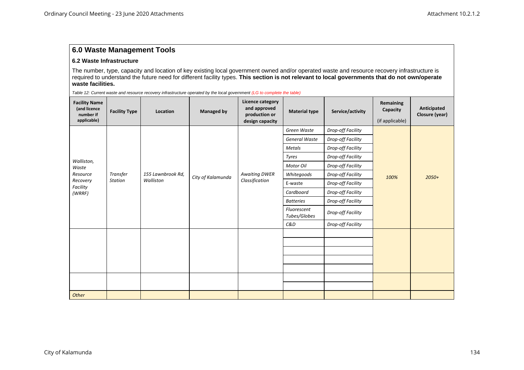#### **6.2 Waste Infrastructure**

The number, type, capacity and location of key existing local government owned and/or operated waste and resource recovery infrastructure is required to understand the future need for different facility types. **This section is not relevant to local governments that do not own/operate waste facilities.**

*Table 12: Current waste and resource recovery infrastructure operated by the local government (LG to complete the table)*

| <b>Facility Name</b><br>(and licence<br>number if<br>applicable) | <b>Facility Type</b> | Location          | <b>Managed by</b> | Licence category<br>and approved<br>production or<br>design capacity | <b>Material type</b>        | Service/activity  | Remaining<br>Capacity<br>(if applicable) | Anticipated<br>Closure (year) |
|------------------------------------------------------------------|----------------------|-------------------|-------------------|----------------------------------------------------------------------|-----------------------------|-------------------|------------------------------------------|-------------------------------|
|                                                                  |                      |                   |                   |                                                                      | Green Waste                 | Drop-off Facility |                                          |                               |
|                                                                  |                      |                   |                   |                                                                      | General Waste               | Drop-off Facility |                                          |                               |
|                                                                  |                      |                   |                   |                                                                      | Metals                      | Drop-off Facility |                                          |                               |
| Walliston,                                                       |                      |                   |                   |                                                                      | Tyres                       | Drop-off Facility |                                          | $2050+$                       |
| Waste                                                            |                      |                   |                   |                                                                      | Motor Oil                   | Drop-off Facility |                                          |                               |
| Resource                                                         | Transfer             | 155 Lawnbrook Rd, | City of Kalamunda | <b>Awaiting DWER</b>                                                 | Whitegoods                  | Drop-off Facility | 100%                                     |                               |
| <b>Station</b><br>Recovery<br>Facility                           |                      | Walliston         |                   | Classification                                                       | E-waste                     | Drop-off Facility |                                          |                               |
| (WRRF)                                                           |                      |                   |                   |                                                                      | Cardboard                   | Drop-off Facility |                                          |                               |
|                                                                  |                      |                   |                   |                                                                      | <b>Batteries</b>            | Drop-off Facility |                                          |                               |
|                                                                  |                      |                   |                   |                                                                      | Fluorescent<br>Tubes/Globes | Drop-off Facility |                                          |                               |
|                                                                  |                      |                   |                   |                                                                      | C&D                         | Drop-off Facility |                                          |                               |
|                                                                  |                      |                   |                   |                                                                      |                             |                   |                                          |                               |
|                                                                  |                      |                   |                   |                                                                      |                             |                   |                                          |                               |
|                                                                  |                      |                   |                   |                                                                      |                             |                   |                                          |                               |
|                                                                  |                      |                   |                   |                                                                      |                             |                   |                                          |                               |
|                                                                  |                      |                   |                   |                                                                      |                             |                   |                                          |                               |
|                                                                  |                      |                   |                   |                                                                      |                             |                   |                                          |                               |
|                                                                  |                      |                   |                   |                                                                      |                             |                   |                                          |                               |
| Other                                                            |                      |                   |                   |                                                                      |                             |                   |                                          |                               |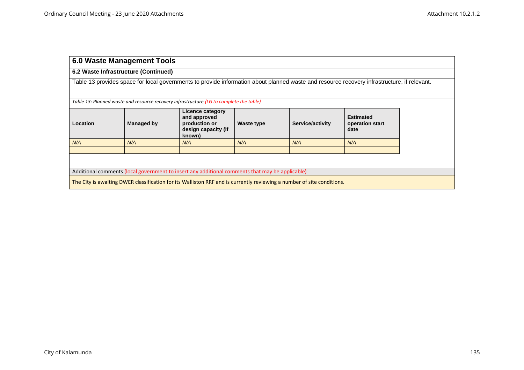|                                                                                                                                             | 6.0 Waste Management Tools                                                                       |                                                                                         |            |                  |                                             |  |  |  |
|---------------------------------------------------------------------------------------------------------------------------------------------|--------------------------------------------------------------------------------------------------|-----------------------------------------------------------------------------------------|------------|------------------|---------------------------------------------|--|--|--|
|                                                                                                                                             | 6.2 Waste Infrastructure (Continued)                                                             |                                                                                         |            |                  |                                             |  |  |  |
| Table 13 provides space for local governments to provide information about planned waste and resource recovery infrastructure, if relevant. |                                                                                                  |                                                                                         |            |                  |                                             |  |  |  |
|                                                                                                                                             |                                                                                                  | Table 13: Planned waste and resource recovery infrastructure (LG to complete the table) |            |                  |                                             |  |  |  |
| Location                                                                                                                                    | Licence category<br>and approved<br>Managed by<br>production or<br>design capacity (if<br>known) |                                                                                         | Waste type | Service/activity | <b>Estimated</b><br>operation start<br>date |  |  |  |
| N/A                                                                                                                                         | N/A<br>N/A<br>N/A<br>N/A<br>N/A                                                                  |                                                                                         |            |                  |                                             |  |  |  |
| Additional comments (local government to insert any additional comments that may be applicable)                                             |                                                                                                  |                                                                                         |            |                  |                                             |  |  |  |
| The City is awaiting DWER classification for its Walliston RRF and is currently reviewing a number of site conditions.                      |                                                                                                  |                                                                                         |            |                  |                                             |  |  |  |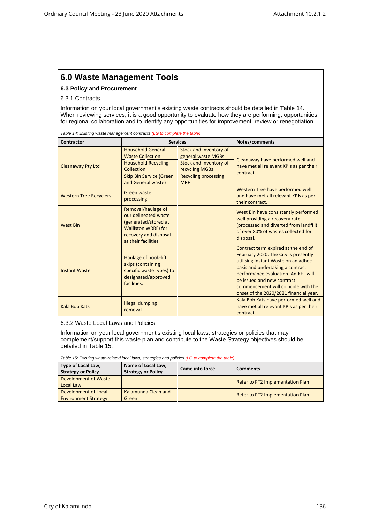#### **6.3 Policy and Procurement**

#### 6.3.1 Contracts

Information on your local government's existing waste contracts should be detailed in Table 14. When reviewing services, it is a good opportunity to evaluate how they are performing, opportunities for regional collaboration and to identify any opportunities for improvement, review or renegotiation.

*Table 14: Existing waste management contracts (LG to complete the table)*

| Contractor                    |                                                                                                                                                         | <b>Services</b>                                                                                                                       | Notes/comments                                                                                                                                                                                                                                                                                               |
|-------------------------------|---------------------------------------------------------------------------------------------------------------------------------------------------------|---------------------------------------------------------------------------------------------------------------------------------------|--------------------------------------------------------------------------------------------------------------------------------------------------------------------------------------------------------------------------------------------------------------------------------------------------------------|
| <b>Cleanaway Pty Ltd</b>      | <b>Household General</b><br><b>Waste Collection</b><br><b>Household Recycling</b><br>Collection<br><b>Skip Bin Service (Green</b><br>and General waste) | Stock and Inventory of<br>general waste MGBs<br>Stock and Inventory of<br>recycling MGBs<br><b>Recycling processing</b><br><b>MRF</b> | Cleanaway have performed well and<br>have met all relevant KPIs as per their<br>contract.                                                                                                                                                                                                                    |
| <b>Western Tree Recyclers</b> | Green waste<br>processing                                                                                                                               |                                                                                                                                       | Western Tree have performed well<br>and have met all relevant KPIs as per<br>their contract.                                                                                                                                                                                                                 |
| <b>West Bin</b>               | Removal/haulage of<br>our delineated waste<br>(generated/stored at<br><b>Walliston WRRF) for</b><br>recovery and disposal<br>at their facilities        |                                                                                                                                       | West Bin have consistently performed<br>well providing a recovery rate<br>(processed and diverted from landfill)<br>of over 80% of wastes collected for<br>disposal.                                                                                                                                         |
| <b>Instant Waste</b>          | Haulage of hook-lift<br>skips (containing<br>specific waste types) to<br>designated/approved<br>facilities.                                             |                                                                                                                                       | Contract term expired at the end of<br>February 2020. The City is presently<br>utilising Instant Waste on an adhoc<br>basis and undertaking a contract<br>performance evaluation. An RFT will<br>be issued and new contract<br>commencement will coincide with the<br>onset of the 2020/2021 financial year. |
| Kala Bob Kats                 | <b>Illegal dumping</b><br>removal                                                                                                                       |                                                                                                                                       | Kala Bob Kats have performed well and<br>have met all relevant KPIs as per their<br>contract.                                                                                                                                                                                                                |

#### 6.3.2 Waste Local Laws and Policies

Information on your local government's existing local laws, strategies or policies that may complement/support this waste plan and contribute to the Waste Strategy objectives should be detailed in Table 15.

*Table 15: Existing waste-related local laws, strategies and policies (LG to complete the table)*

| Type of Local Law,<br><b>Strategy or Policy</b>     | Name of Local Law,<br><b>Strategy or Policy</b> | <b>Came into force</b> | <b>Comments</b>                  |
|-----------------------------------------------------|-------------------------------------------------|------------------------|----------------------------------|
| Development of Waste<br>Local Law                   |                                                 |                        | Refer to PT2 Implementation Plan |
| Development of Local<br><b>Environment Strategy</b> | Kalamunda Clean and<br>Green                    |                        | Refer to PT2 Implementation Plan |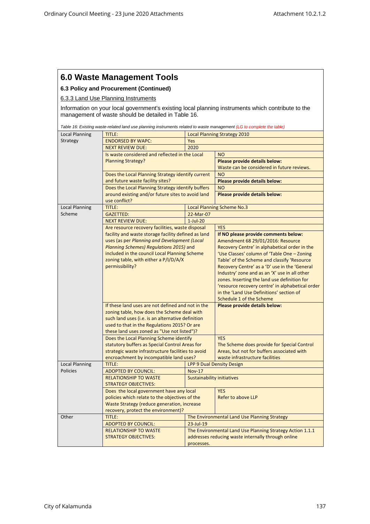#### **6.3 Policy and Procurement (Continued)**

6.3.3 Land Use Planning Instruments

Information on your local government's existing local planning instruments which contribute to the management of waste should be detailed in Table 16.

|                       | Table 16: Existing waste-related land use planning instruments related to waste management (LG to complete the table) |                                     |                                                                      |  |  |
|-----------------------|-----------------------------------------------------------------------------------------------------------------------|-------------------------------------|----------------------------------------------------------------------|--|--|
| Local Planning        | <b>TITLE:</b>                                                                                                         | <b>Local Planning Strategy 2010</b> |                                                                      |  |  |
| Strategy              | <b>ENDORSED BY WAPC:</b>                                                                                              | Yes                                 |                                                                      |  |  |
|                       | <b>NEXT REVIEW DUE:</b>                                                                                               | 2020                                |                                                                      |  |  |
|                       | Is waste considered and reflected in the Local                                                                        |                                     | <b>NO</b>                                                            |  |  |
|                       | <b>Planning Strategy?</b>                                                                                             |                                     | Please provide details below:                                        |  |  |
|                       |                                                                                                                       |                                     | Waste can be considered in future reviews.                           |  |  |
|                       | Does the Local Planning Strategy identify current                                                                     |                                     | <b>NO</b>                                                            |  |  |
|                       | and future waste facility sites?                                                                                      |                                     | Please provide details below:                                        |  |  |
|                       | Does the Local Planning Strategy identify buffers                                                                     |                                     | <b>NO</b>                                                            |  |  |
|                       | around existing and/or future sites to avoid land                                                                     |                                     | Please provide details below:                                        |  |  |
|                       | use conflict?                                                                                                         |                                     |                                                                      |  |  |
| <b>Local Planning</b> | TITLE:                                                                                                                |                                     | <b>Local Planning Scheme No.3</b>                                    |  |  |
| Scheme                | <b>GAZETTED:</b>                                                                                                      | 22-Mar-07                           |                                                                      |  |  |
|                       | <b>NEXT REVIEW DUE:</b>                                                                                               | $1-Jul-20$                          |                                                                      |  |  |
|                       | Are resource recovery facilities, waste disposal                                                                      |                                     | <b>YES</b>                                                           |  |  |
|                       | facility and waste storage facility defined as land                                                                   |                                     | If NO please provide comments below:                                 |  |  |
|                       | uses (as per Planning and Development (Local                                                                          |                                     | Amendment 68 29/01/2016: Resource                                    |  |  |
|                       | Planning Schemes) Regulations 2015) and                                                                               |                                     | Recovery Centre' in alphabetical order in the                        |  |  |
|                       | included in the council Local Planning Scheme                                                                         |                                     | 'Use Classes' column of 'Table One - Zoning                          |  |  |
|                       | zoning table, with either a P/I/D/A/X                                                                                 |                                     | Table' of the Scheme and classify 'Resource                          |  |  |
|                       | permissibility?                                                                                                       |                                     | Recovery Centre' as a 'D' use in the 'General                        |  |  |
|                       |                                                                                                                       |                                     | Industry' zone and as an 'X' use in all other                        |  |  |
|                       |                                                                                                                       |                                     | zones. Inserting the land use definition for                         |  |  |
|                       |                                                                                                                       |                                     | 'resource recovery centre' in alphabetical order                     |  |  |
|                       |                                                                                                                       |                                     | in the 'Land Use Definitions' section of<br>Schedule 1 of the Scheme |  |  |
|                       | If these land uses are not defined and not in the                                                                     |                                     | Please provide details below:                                        |  |  |
|                       | zoning table, how does the Scheme deal with                                                                           |                                     |                                                                      |  |  |
|                       | such land uses (i.e. is an alternative definition                                                                     |                                     |                                                                      |  |  |
|                       | used to that in the Regulations 2015? Or are                                                                          |                                     |                                                                      |  |  |
|                       | these land uses zoned as "Use not listed")?                                                                           |                                     |                                                                      |  |  |
|                       | Does the Local Planning Scheme identify                                                                               |                                     | <b>YES</b>                                                           |  |  |
|                       | statutory buffers as Special Control Areas for                                                                        |                                     | The Scheme does provide for Special Control                          |  |  |
|                       | strategic waste infrastructure facilities to avoid                                                                    |                                     | Areas, but not for buffers associated with                           |  |  |
|                       | encroachment by incompatible land uses?                                                                               |                                     | waste infrastructure facilities                                      |  |  |
| <b>Local Planning</b> | TITLE:                                                                                                                |                                     | LPP 9 Dual Density Design                                            |  |  |
| <b>Policies</b>       | <b>ADOPTED BY COUNCIL:</b>                                                                                            | <b>Nov-17</b>                       |                                                                      |  |  |
|                       | <b>RELATIONSHIP TO WASTE</b>                                                                                          | Sustainability initiatives          |                                                                      |  |  |
|                       | <b>STRATEGY OBJECTIVES:</b>                                                                                           |                                     |                                                                      |  |  |
|                       | Does the local government have any local                                                                              |                                     | <b>YES</b>                                                           |  |  |
|                       | policies which relate to the objectives of the                                                                        |                                     | Refer to above LLP                                                   |  |  |
|                       | Waste Strategy (reduce generation, increase                                                                           |                                     |                                                                      |  |  |
|                       | recovery, protect the environment)?                                                                                   |                                     |                                                                      |  |  |
| Other                 | <b>TITLE:</b>                                                                                                         |                                     | The Environmental Land Use Planning Strategy                         |  |  |
|                       | <b>ADOPTED BY COUNCIL:</b>                                                                                            | 23-Jul-19                           |                                                                      |  |  |
|                       | <b>RELATIONSHIP TO WASTE</b>                                                                                          |                                     | The Environmental Land Use Planning Strategy Action 1.1.1            |  |  |
|                       | <b>STRATEGY OBJECTIVES:</b>                                                                                           |                                     | addresses reducing waste internally through online                   |  |  |
|                       |                                                                                                                       | processes.                          |                                                                      |  |  |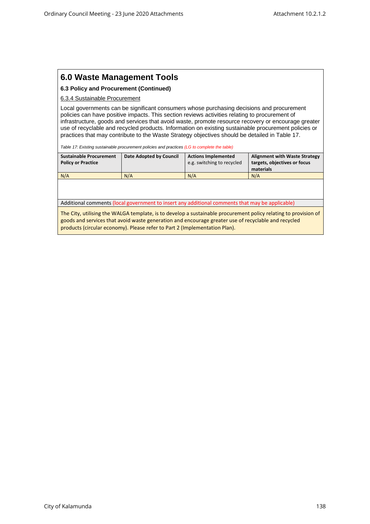#### **6.3 Policy and Procurement (Continued)**

#### 6.3.4 Sustainable Procurement

Local governments can be significant consumers whose purchasing decisions and procurement policies can have positive impacts. This section reviews activities relating to procurement of infrastructure, goods and services that avoid waste, promote resource recovery or encourage greater use of recyclable and recycled products. Information on existing sustainable procurement policies or practices that may contribute to the Waste Strategy objectives should be detailed in Table 17.

*Table 17: Existing sustainable procurement policies and practices (LG to complete the table)*

| <b>Sustainable Procurement</b> | Date Adopted by Council | <b>Actions Implemented</b> | <b>Alignment with Waste Strategy</b> |
|--------------------------------|-------------------------|----------------------------|--------------------------------------|
| <b>Policy or Practice</b>      |                         | e.g. switching to recycled | targets, objectives or focus         |
|                                |                         |                            | materials                            |
| N/A                            | N/A                     | N/A                        | N/A                                  |

Additional comments (local government to insert any additional comments that may be applicable)

The City, utilising the WALGA template, is to develop a sustainable procurement policy relating to provision of goods and services that avoid waste generation and encourage greater use of recyclable and recycled products (circular economy). Please refer to Part 2 (Implementation Plan).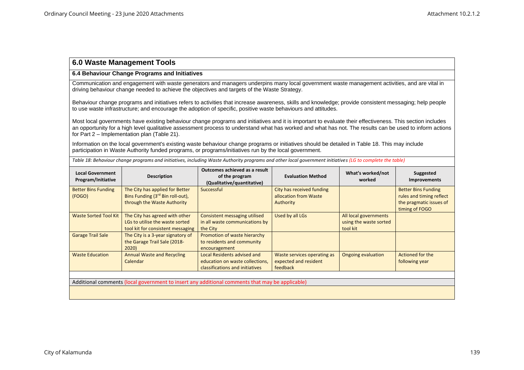#### **6.4 Behaviour Change Programs and Initiatives**

Communication and engagement with waste generators and managers underpins many local government waste management activities, and are vital in driving behaviour change needed to achieve the objectives and targets of the Waste Strategy.

Behaviour change programs and initiatives refers to activities that increase awareness, skills and knowledge; provide consistent messaging; help people to use waste infrastructure; and encourage the adoption of specific, positive waste behaviours and attitudes.

Most local governments have existing behaviour change programs and initiatives and it is important to evaluate their effectiveness. This section includes an opportunity for a high level qualitative assessment process to understand what has worked and what has not. The results can be used to inform actions for Part 2 – Implementation plan (Table 21).

Information on the local government's existing waste behaviour change programs or initiatives should be detailed in Table 18. This may include participation in Waste Authority funded programs, or programs/initiatives run by the local government.

| <b>Local Government</b><br>Program/Initiative | <b>Description</b>                                                                              | Outcomes achieved as a result<br>of the program<br>(Qualitative/quantitative) | <b>Evaluation Method</b>                           | What's worked/not<br>worked | Suggested<br><b>Improvements</b>          |
|-----------------------------------------------|-------------------------------------------------------------------------------------------------|-------------------------------------------------------------------------------|----------------------------------------------------|-----------------------------|-------------------------------------------|
| <b>Better Bins Funding</b>                    | The City has applied for Better                                                                 | Successful                                                                    | City has received funding<br>allocation from Waste |                             | <b>Better Bins Funding</b>                |
| (FOGO)                                        | Bins Funding (3rd Bin roll-out),                                                                |                                                                               |                                                    |                             | rules and timing reflect                  |
|                                               | through the Waste Authority                                                                     |                                                                               | Authority                                          |                             | the pragmatic issues of<br>timing of FOGO |
| <b>Waste Sorted Tool Kit</b>                  | The City has agreed with other                                                                  | Consistent messaging utilised                                                 | Used by all LGs                                    | All local governments       |                                           |
|                                               | LGs to utilise the waste sorted                                                                 | in all waste communications by                                                |                                                    | using the waste sorted      |                                           |
|                                               | tool kit for consistent messaging                                                               | the City                                                                      |                                                    | tool kit                    |                                           |
| <b>Garage Trail Sale</b>                      | The City is a 3-year signatory of                                                               | Promotion of waste hierarchy                                                  |                                                    |                             |                                           |
|                                               | the Garage Trail Sale (2018-                                                                    | to residents and community                                                    |                                                    |                             |                                           |
|                                               | 2020)                                                                                           | encouragement                                                                 |                                                    |                             |                                           |
| <b>Waste Education</b>                        | <b>Annual Waste and Recycling</b>                                                               | Local Residents advised and                                                   | Waste services operating as                        | Ongoing evaluation          | Actioned for the                          |
|                                               | Calendar                                                                                        | education on waste collections,                                               | expected and resident                              |                             | following year                            |
|                                               |                                                                                                 | classifications and initiatives                                               | feedback                                           |                             |                                           |
|                                               |                                                                                                 |                                                                               |                                                    |                             |                                           |
|                                               | Additional comments (local government to insert any additional comments that may be applicable) |                                                                               |                                                    |                             |                                           |
|                                               |                                                                                                 |                                                                               |                                                    |                             |                                           |

*Table 18: Behaviour change programs and initiatives, including Waste Authority programs and other local government initiatives (LG to complete the table)*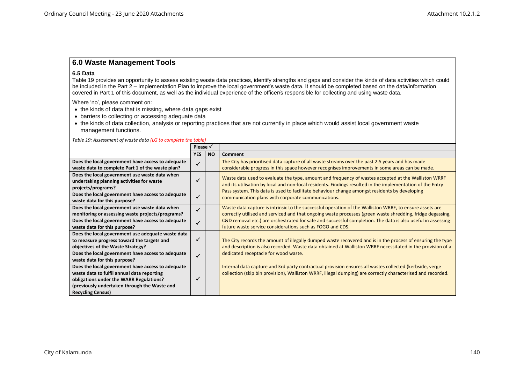#### **6.5 Data**

Table 19 provides an opportunity to assess existing waste data practices, identify strengths and gaps and consider the kinds of data activities which could be included in the Part 2 – Implementation Plan to improve the local government's waste data. It should be completed based on the data/information covered in Part 1 of this document, as well as the individual experience of the officer/s responsible for collecting and using waste data.

Where 'no', please comment on:

- the kinds of data that is missing, where data gaps exist
- barriers to collecting or accessing adequate data
- the kinds of data collection, analysis or reporting practices that are not currently in place which would assist local government waste management functions.

| Table 19: Assessment of waste data (LG to complete the table)                                                                                                                                                             |                     |           |                                                                                                                                                                                                                                                                                                                                                                                                   |  |
|---------------------------------------------------------------------------------------------------------------------------------------------------------------------------------------------------------------------------|---------------------|-----------|---------------------------------------------------------------------------------------------------------------------------------------------------------------------------------------------------------------------------------------------------------------------------------------------------------------------------------------------------------------------------------------------------|--|
|                                                                                                                                                                                                                           | Please $\checkmark$ |           |                                                                                                                                                                                                                                                                                                                                                                                                   |  |
|                                                                                                                                                                                                                           | <b>YES</b>          | <b>NO</b> | <b>Comment</b>                                                                                                                                                                                                                                                                                                                                                                                    |  |
| Does the local government have access to adequate                                                                                                                                                                         |                     |           | The City has prioritised data capture of all waste streams over the past 2.5 years and has made                                                                                                                                                                                                                                                                                                   |  |
| waste data to complete Part 1 of the waste plan?                                                                                                                                                                          |                     |           | considerable progress in this space however recognises improvements in some areas can be made.                                                                                                                                                                                                                                                                                                    |  |
| Does the local government use waste data when<br>undertaking planning activities for waste<br>projects/programs?<br>Does the local government have access to adequate<br>waste data for this purpose?                     |                     |           | Waste data used to evaluate the type, amount and frequency of wastes accepted at the Walliston WRRF<br>and its utilisation by local and non-local residents. Findings resulted in the implementation of the Entry<br>Pass system. This data is used to facilitate behaviour change amongst residents by developing<br>communication plans with corporate communications.                          |  |
| Does the local government use waste data when<br>monitoring or assessing waste projects/programs?<br>Does the local government have access to adequate<br>waste data for this purpose?                                    | $\checkmark$        |           | Waste data capture is intrinsic to the successful operation of the Walliston WRRF, to ensure assets are<br>correctly utilised and serviced and that ongoing waste processes (green waste shredding, fridge degassing,<br>C&D removal etc.) are orchestrated for safe and successful completion. The data is also useful in assessing<br>future waste service considerations such as FOGO and CDS. |  |
| Does the local government use adequate waste data<br>to measure progress toward the targets and<br>objectives of the Waste Strategy?<br>Does the local government have access to adequate<br>waste data for this purpose? |                     |           | The City records the amount of illegally dumped waste recovered and is in the process of ensuring the type<br>and description is also recorded. Waste data obtained at Walliston WRRF necessitated in the provision of a<br>dedicated receptacle for wood waste.                                                                                                                                  |  |
| Does the local government have access to adequate<br>waste data to fulfil annual data reporting<br>obligations under the WARR Regulations?<br>(previously undertaken through the Waste and<br><b>Recycling Census)</b>    |                     |           | Internal data capture and 3rd party contractual provision ensures all wastes collected (kerbside, verge<br>collection (skip bin provision), Walliston WRRF, illegal dumping) are correctly characterised and recorded.                                                                                                                                                                            |  |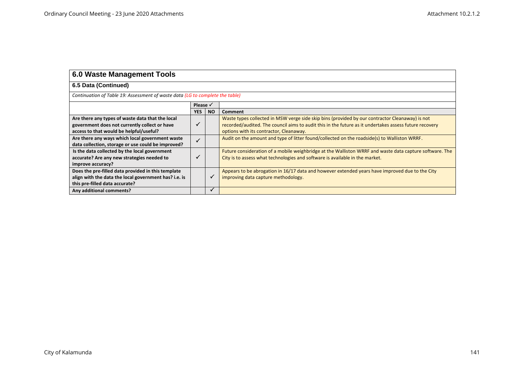| <b>6.0 Waste Management Tools</b>                                                                                                             |                     |           |                                                                                                                                                                                                                                                      |  |  |
|-----------------------------------------------------------------------------------------------------------------------------------------------|---------------------|-----------|------------------------------------------------------------------------------------------------------------------------------------------------------------------------------------------------------------------------------------------------------|--|--|
| 6.5 Data (Continued)                                                                                                                          |                     |           |                                                                                                                                                                                                                                                      |  |  |
| Continuation of Table 19: Assessment of waste data (LG to complete the table)                                                                 |                     |           |                                                                                                                                                                                                                                                      |  |  |
|                                                                                                                                               | Please $\checkmark$ |           |                                                                                                                                                                                                                                                      |  |  |
|                                                                                                                                               | <b>YES</b>          | <b>NO</b> | Comment                                                                                                                                                                                                                                              |  |  |
| Are there any types of waste data that the local<br>government does not currently collect or have<br>access to that would be helpful/useful?  |                     |           | Waste types collected in MSW verge side skip bins (provided by our contractor Cleanaway) is not<br>recorded/audited. The council aims to audit this in the future as it undertakes assess future recovery<br>options with its contractor, Cleanaway. |  |  |
| Are there any ways which local government waste<br>data collection, storage or use could be improved?                                         |                     |           | Audit on the amount and type of litter found/collected on the roadside(s) to Walliston WRRF.                                                                                                                                                         |  |  |
| Is the data collected by the local government<br>accurate? Are any new strategies needed to<br>improve accuracy?                              |                     |           | Future consideration of a mobile weighbridge at the Walliston WRRF and waste data capture software. The<br>City is to assess what technologies and software is available in the market.                                                              |  |  |
| Does the pre-filled data provided in this template<br>align with the data the local government has? i.e. is<br>this pre-filled data accurate? |                     |           | Appears to be abrogation in 16/17 data and however extended years have improved due to the City<br>improving data capture methodology.                                                                                                               |  |  |
| Any additional comments?                                                                                                                      |                     |           |                                                                                                                                                                                                                                                      |  |  |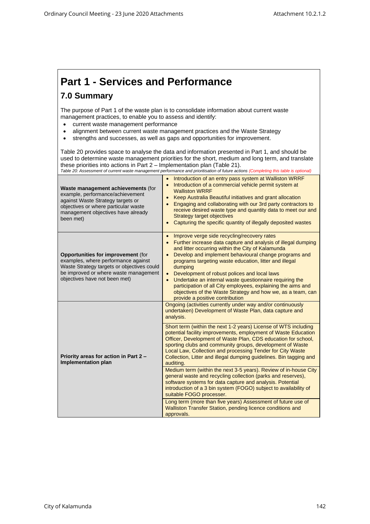## **Part 1 - Services and Performance**

## **7.0 Summary**

The purpose of Part 1 of the waste plan is to consolidate information about current waste management practices, to enable you to assess and identify:

- current waste management performance
- alignment between current waste management practices and the Waste Strategy
- strengths and successes, as well as gaps and opportunities for improvement.

Table 20 provides space to analyse the data and information presented in Part 1, and should be used to determine waste management priorities for the short, medium and long term, and translate these priorities into actions in Part 2 – Implementation plan (Table 21). *Table 20: Assessment of current waste management performance and prioritisation of future actions (Completing this table is optional)*

| Waste management achievements (for<br>example, performance/achievement<br>against Waste Strategy targets or<br>objectives or where particular waste<br>management objectives have already<br>been met)   | Introduction of an entry pass system at Walliston WRRF<br>$\bullet$<br>Introduction of a commercial vehicle permit system at<br>$\bullet$<br><b>Walliston WRRF</b><br>Keep Australia Beautiful initiatives and grant allocation<br>Engaging and collaborating with our 3rd party contractors to<br>receive desired waste type and quantity data to meet our and<br><b>Strategy target objectives</b><br>Capturing the specific quantity of illegally deposited wastes                                                                                                                     |  |  |  |
|----------------------------------------------------------------------------------------------------------------------------------------------------------------------------------------------------------|-------------------------------------------------------------------------------------------------------------------------------------------------------------------------------------------------------------------------------------------------------------------------------------------------------------------------------------------------------------------------------------------------------------------------------------------------------------------------------------------------------------------------------------------------------------------------------------------|--|--|--|
| <b>Opportunities for improvement (for</b><br>examples, where performance against<br>Waste Strategy targets or objectives could<br>be improved or where waste management<br>objectives have not been met) | Improve verge side recycling/recovery rates<br>Further increase data capture and analysis of illegal dumping<br>and litter occurring within the City of Kalamunda<br>Develop and implement behavioural change programs and<br>programs targeting waste education, litter and illegal<br>dumping<br>Development of robust polices and local laws<br>$\bullet$<br>Undertake an internal waste questionnaire requiring the<br>participation of all City employees, explaining the aims and<br>objectives of the Waste Strategy and how we, as a team, can<br>provide a positive contribution |  |  |  |
|                                                                                                                                                                                                          | Ongoing (activities currently under way and/or continuously<br>undertaken) Development of Waste Plan, data capture and<br>analysis.                                                                                                                                                                                                                                                                                                                                                                                                                                                       |  |  |  |
| Priority areas for action in Part 2 -<br><b>Implementation plan</b>                                                                                                                                      | Short term (within the next 1-2 years) License of WTS including<br>potential facility improvements, employment of Waste Education<br>Officer, Development of Waste Plan, CDS education for school,<br>sporting clubs and community groups, development of Waste<br>Local Law, Collection and processing Tender for City Waste<br>Collection, Litter and illegal dumping guidelines. Bin tagging and<br>auditing.                                                                                                                                                                          |  |  |  |
|                                                                                                                                                                                                          | Medium term (within the next 3-5 years). Review of in-house City<br>general waste and recycling collection (parks and reserves),<br>software systems for data capture and analysis. Potential<br>introduction of a 3 bin system (FOGO) subject to availability of<br>suitable FOGO processer.                                                                                                                                                                                                                                                                                             |  |  |  |
|                                                                                                                                                                                                          | Long term (more than five years) Assessment of future use of<br>Walliston Transfer Station, pending licence conditions and<br>approvals.                                                                                                                                                                                                                                                                                                                                                                                                                                                  |  |  |  |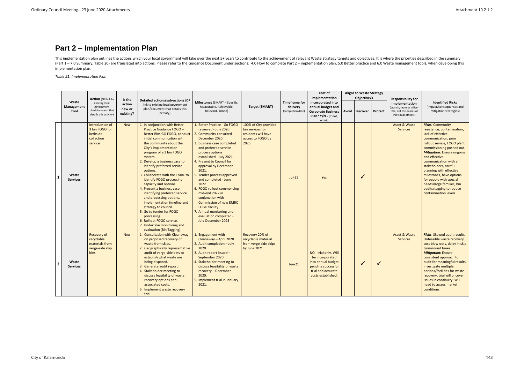## **Part 2 – Implementation Plan**

This implementation plan outlines the actions which your local government will take over the next 5+ years to contribute to the achievement of relevant Waste Strategy targets and objectives. It is where the priorities desc (Part 1-7.0 Summary, Table 20) are translated into actions. Please refer to the Guidance Document under sections: 4.0 How to complete Part 2 - implementation plan, 5.0 Better practice and 6.0 Waste management tools, when d implementation plan.

*Table 21: Implementation Plan*

|                         |                             |                                                                                                           |                                         |                                                                                                                                                                                                                                                                                                                                                                                                                                                                                                                                                                                                                                                                           |                                                                                                                                                                                                                                                                                                                                                                                                                                                                                                                                            |                                                                                               |                                                       | Cost of<br>implementation                                                                                                        |       | <b>Aligns to Waste Strategy</b><br>Objective/s |              | <b>Responsibility for</b>                                                                     |                                                                                                                                                                                                                                                                                                                                                                                                                                            |
|-------------------------|-----------------------------|-----------------------------------------------------------------------------------------------------------|-----------------------------------------|---------------------------------------------------------------------------------------------------------------------------------------------------------------------------------------------------------------------------------------------------------------------------------------------------------------------------------------------------------------------------------------------------------------------------------------------------------------------------------------------------------------------------------------------------------------------------------------------------------------------------------------------------------------------------|--------------------------------------------------------------------------------------------------------------------------------------------------------------------------------------------------------------------------------------------------------------------------------------------------------------------------------------------------------------------------------------------------------------------------------------------------------------------------------------------------------------------------------------------|-----------------------------------------------------------------------------------------------|-------------------------------------------------------|----------------------------------------------------------------------------------------------------------------------------------|-------|------------------------------------------------|--------------|-----------------------------------------------------------------------------------------------|--------------------------------------------------------------------------------------------------------------------------------------------------------------------------------------------------------------------------------------------------------------------------------------------------------------------------------------------------------------------------------------------------------------------------------------------|
|                         | Waste<br>Management<br>Tool | <b>Action</b> (OR link to<br>existing local<br>government<br>plan/document that<br>details this activity) | Is the<br>action<br>new or<br>existing? | Detailed actions/sub-actions (OR<br>link to existing local government<br>plan/document that details this<br>activity)                                                                                                                                                                                                                                                                                                                                                                                                                                                                                                                                                     | Milestones (SMART - Specific,<br>Measurable, Achievable,<br>Relevant, Timed)                                                                                                                                                                                                                                                                                                                                                                                                                                                               | <b>Target (SMART)</b>                                                                         | <b>Timeframe for</b><br>delivery<br>(completion date) | incorporated into<br>annual budget and<br><b>Corporate Business</b><br>Plan? Y/N - (if not,<br>why?)                             | Avoid | Recover                                        | Protect      | implementation<br>(branch, team or officer<br>title, not the names of<br>individual officers) | <b>Identified Risks</b><br>(impact/consequences and<br>mitigation strategies)                                                                                                                                                                                                                                                                                                                                                              |
| $\mathbf{1}$            | Waste<br><b>Services</b>    | Introduction of<br>3 bin FOGO for<br>kerbside<br>collection<br>service                                    | <b>New</b>                              | 1. In conjunction with Better<br>Practice Guidance FOGO -<br>Better Bins GO FOGO, conduct<br>initial communication with<br>the community about the<br>City's implementation<br>program of a 3 bin FOGO<br>system.<br>2. Develop a business case to<br>identify preferred service<br>options.<br>3. Collaborate with the EMRC to<br>identify FOGO processing<br>capacity and options.<br>4. Present a business case<br>identifying preferred service<br>and processing options,<br>implementation timeline and<br>strategy to council.<br>5. Go to tender for FOGO<br>processing.<br>6. Roll out FOGO service.<br>7. Undertake monitoring and<br>evaluation (Bin Tagging). | 1. Better Practice - Go FOGO<br>reviewed - July 2020.<br>2. Community consulted -<br>December 2020.<br>3. Business case completed<br>and preferred service<br>process options<br>established - July 2021.<br>4. Present to Council for<br>approval by December<br>2021.<br>5. Tender process approved<br>and completed - June<br>2022.<br>6. FOGO rollout commencing<br>mid-end 2022 in<br>conjunction with<br><b>Commission of new EMRC</b><br>FOGO facility.<br>7. Annual monitoring and<br>evaluation completed -<br>July-December 2023 | 100% of City provided<br>bin services for<br>residents will have<br>access to FOGO by<br>2025 | $Jul-25$                                              | Yes                                                                                                                              |       | $\checkmark$                                   |              | Asset & Waste<br><b>Services</b>                                                              | <b>Risks: Community</b><br>resistance, contamination,<br>lack of effective<br>communication, poor<br>rollout service, FOGO plant<br>commissioning pushed out.<br><b>Mitigation: Ensure ongoing</b><br>and effective<br>communication with all<br>stakeholders, careful<br>planning with effective<br>milestones, have options<br>for people with special<br>needs/large families, bin<br>audits/tagging to reduce<br>contamination levels. |
| $\overline{\mathbf{2}}$ | Waste<br><b>Services</b>    | Recovery of<br>recyclable<br>materials from<br>verge-side skip<br><b>bins</b>                             | <b>New</b>                              | 1. Consultation with Cleanaway<br>on proposed recovery of<br>waste from skips.<br>2. Geographically representative<br>audit of verge-side bins to<br>establish what waste are<br>being disposed.<br>3. Generate audit report.<br>4. Stakeholder meeting to<br>discuss feasibility of waste<br>recovery options and<br>associated costs.<br>5. Implement waste recovery<br>trial.                                                                                                                                                                                                                                                                                          | 1. Engagement with<br>Cleanaway - April 2020.<br>2. Audit completion - July<br>2020.<br>3. Audit report issued -<br>September 2020.<br>4. Stakeholder meeting to<br>discuss feasibility of waste<br>recovery - December<br>2020.<br>5. Implement trial in January<br>2021.                                                                                                                                                                                                                                                                 | Recovery 20% of<br>recyclable material<br>from verge-side skips<br>by June 2021               | $Jun-21$                                              | NO - trial only. Will<br>be incorporated<br>into annual budget<br>pending successful<br>trial and accurate<br>costs established. |       | $\checkmark$                                   | $\checkmark$ | Asset & Waste<br><b>Services</b>                                                              | <b>Risks:</b> Skewed audit results.<br>Unfeasible waste recovery,<br>cost blow-outs, delay in skip<br>turnaround times.<br><b>Mitigation: Ensure</b><br>consistent approach to<br>audit for meaningful results,<br>investigate multiple<br>options/facilities for waste<br>recovery, trial will uncover<br>issues in continuity. Will<br>need to assess market<br>conditions.                                                              |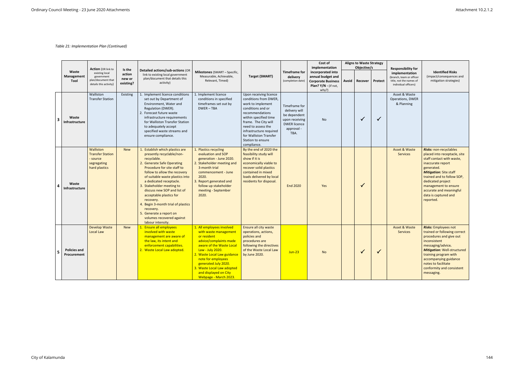|                         |                                    | <b>Action</b> (OR link to                                                        |                                         |                                                                                                                                                                                                                                                                                                                                                                                                                                                                            |                                                                                                                                                                                                                                                                                                          |                                                                                                                                                                                                                                                                              |                                                                                                               | Cost of<br>implementation                                                                            |       | <b>Aligns to Waste Strategy</b><br>Objective/s |              | <b>Responsibility for</b>                                                                     |                                                                                                                                                                                                                                                                                                           |
|-------------------------|------------------------------------|----------------------------------------------------------------------------------|-----------------------------------------|----------------------------------------------------------------------------------------------------------------------------------------------------------------------------------------------------------------------------------------------------------------------------------------------------------------------------------------------------------------------------------------------------------------------------------------------------------------------------|----------------------------------------------------------------------------------------------------------------------------------------------------------------------------------------------------------------------------------------------------------------------------------------------------------|------------------------------------------------------------------------------------------------------------------------------------------------------------------------------------------------------------------------------------------------------------------------------|---------------------------------------------------------------------------------------------------------------|------------------------------------------------------------------------------------------------------|-------|------------------------------------------------|--------------|-----------------------------------------------------------------------------------------------|-----------------------------------------------------------------------------------------------------------------------------------------------------------------------------------------------------------------------------------------------------------------------------------------------------------|
|                         | Waste<br>Management<br>Tool        | existing local<br>government<br>plan/document that<br>details this activity)     | Is the<br>action<br>new or<br>existing? | Detailed actions/sub-actions (OR<br>link to existing local government<br>plan/document that details this<br>activity)                                                                                                                                                                                                                                                                                                                                                      | Milestones (SMART - Specific,<br>Measurable, Achievable,<br>Relevant, Timed)                                                                                                                                                                                                                             | <b>Target (SMART)</b>                                                                                                                                                                                                                                                        | <b>Timeframe for</b><br>delivery<br>(completion date)                                                         | incorporated into<br>annual budget and<br><b>Corporate Business</b><br>Plan? Y/N - (if not,<br>why?) | Avoid | Recover                                        | Protect      | implementation<br>(branch, team or officer<br>title, not the names of<br>individual officers) | <b>Identified Risks</b><br>(impact/consequences and<br>mitigation strategies)                                                                                                                                                                                                                             |
| $\overline{\mathbf{3}}$ | Waste<br>Infrastructure            | Walliston<br><b>Transfer Station</b>                                             | Existing                                | 1. Implement licence conditions<br>set out by Department of<br>Environment, Water and<br>Regulation (DWER).<br>2. Forecast future waste<br>infrastructure requirements<br>for Walliston Transfer Station<br>to adequately accept<br>specified waste streams and<br>ensure compliance.                                                                                                                                                                                      | 1. Implement licence<br>conditions in specified<br>timeframes set out by<br>DWER-TBA                                                                                                                                                                                                                     | Upon receiving licence<br>conditions from DWER,<br>work to implement<br>conditions and or<br>recommendations<br>within specified time<br>frame. The City will<br>need to assess the<br>infrastructure required<br>for Walliston Transfer<br>Station to ensure<br>compliance. | Timeframe for<br>delivery will<br>be dependent<br>upon receiving<br><b>DWER</b> licence<br>approval -<br>TBA. | No                                                                                                   |       | $\checkmark$                                   | $\checkmark$ | Asset & Waste<br>Operations, DWER<br>& Planning                                               |                                                                                                                                                                                                                                                                                                           |
| $\overline{a}$          | Waste<br><b>Infrastructure</b>     | Walliston<br><b>Transfer Station</b><br>- source<br>segregating<br>hard plastics | <b>New</b>                              | 1. Establish which plastics are<br>presently recyclable/non-<br>recyclable.<br>2. Generate Safe Operating<br>Procedure for site staff to<br>follow to allow the recovery<br>of suitable waste plastics into<br>a dedicated receptacle.<br>3. Stakeholder meeting to<br>discuss new SOP and list of<br>acceptable plastics for<br>recovery.<br>4. Begin 3-month trial of plastics<br>recovery.<br>5. Generate a report on<br>volumes recovered against<br>labour intensity. | 1. Plastics recycling<br>evaluation and SOP<br>generation - June 2020.<br>2. Stakeholder meeting and<br>3-month trial<br>commencement - June<br>2020.<br>3. Report generated and<br>follow up stakeholder<br>meeting - September<br>2020.                                                                | By the end of 2020 the<br>feasibility study will<br>show if it is<br>economically viable to<br>recover solid plastics<br>contained in mixed<br>loads delivered by local<br>residents for disposal.                                                                           | <b>End 2020</b>                                                                                               | Yes                                                                                                  |       | $\checkmark$                                   |              | Asset & Waste<br><b>Services</b>                                                              | <b>Risks: non-recyclables</b><br>placed into receptacle, site<br>staff contact with waste,<br>inaccurate report<br>generated.<br><b>Mitigation: Site staff</b><br>trained and to follow SOP,<br>dedicated project<br>management to ensure<br>accurate and meaningful<br>data is captured and<br>reported. |
| -5                      | <b>Policies and</b><br>Procurement | <b>Develop Waste</b><br><b>Local Law</b>                                         | <b>New</b>                              | 1. Ensure all employees<br>involved with waste<br>management are aware of<br>the law, its intent and<br>enforcement capabilities.<br>2. Waste Local Law adopted.                                                                                                                                                                                                                                                                                                           | 1. All employees involved<br>with waste management<br>or resident<br>advice/complaints made<br>aware of the Waste Local<br>Law - July 2020.<br>2. Waste Local Law guidance<br>note for employees<br>generated July 2020.<br>3. Waste Local Law adopted<br>and displayed on City<br>Webpage - March 2023. | Ensure all city waste<br>operations, actions,<br>policies and<br>procedures are<br>following the directives<br>of the Waste Local Law<br>by June 2020.                                                                                                                       | $Jun-23$                                                                                                      | <b>No</b>                                                                                            |       | $\checkmark$                                   | ✓            | Asset & Waste<br><b>Services</b>                                                              | <b>Risks:</b> Employees not<br>trained or following correct<br>procedures and give out<br>inconsistent<br>messaging/advice.<br><b>Mitigation: Well-structured</b><br>training program with<br>accompanying guidance<br>notes to facilitate<br>conformity and consistent<br>messaging.                     |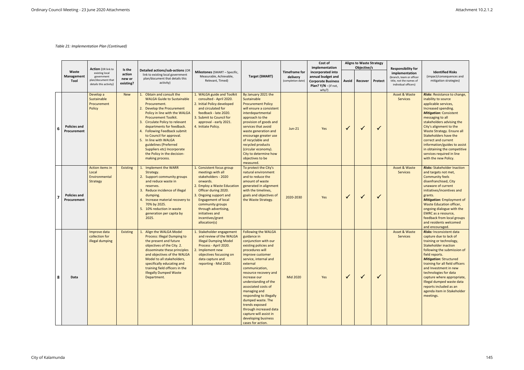|    |                                    |                                                                                                           |                                         |                                                                                                                                                                                                                                                                                                                                                                                                                                               |                                                                                                                                                                                                                                                                                                      |                                                                                                                                                                                                                                                                                                                                                                                                                                                                    |                                                       | Cost of<br>implementation                                                                            |              | <b>Aligns to Waste Strategy</b><br>Objective/s |              | <b>Responsibility for</b>                                                                     |                                                                                                                                                                                                                                                                                                                                                                                                                            |
|----|------------------------------------|-----------------------------------------------------------------------------------------------------------|-----------------------------------------|-----------------------------------------------------------------------------------------------------------------------------------------------------------------------------------------------------------------------------------------------------------------------------------------------------------------------------------------------------------------------------------------------------------------------------------------------|------------------------------------------------------------------------------------------------------------------------------------------------------------------------------------------------------------------------------------------------------------------------------------------------------|--------------------------------------------------------------------------------------------------------------------------------------------------------------------------------------------------------------------------------------------------------------------------------------------------------------------------------------------------------------------------------------------------------------------------------------------------------------------|-------------------------------------------------------|------------------------------------------------------------------------------------------------------|--------------|------------------------------------------------|--------------|-----------------------------------------------------------------------------------------------|----------------------------------------------------------------------------------------------------------------------------------------------------------------------------------------------------------------------------------------------------------------------------------------------------------------------------------------------------------------------------------------------------------------------------|
|    | Waste<br>Management<br>Tool        | <b>Action</b> (OR link to<br>existing local<br>government<br>plan/document that<br>details this activity) | Is the<br>action<br>new or<br>existing? | Detailed actions/sub-actions (OR<br>link to existing local government<br>plan/document that details this<br>activity)                                                                                                                                                                                                                                                                                                                         | <b>Milestones</b> (SMART - Specific,<br>Measurable, Achievable,<br>Relevant, Timed)                                                                                                                                                                                                                  | Target (SMART)                                                                                                                                                                                                                                                                                                                                                                                                                                                     | <b>Timeframe for</b><br>delivery<br>(completion date) | incorporated into<br>annual budget and<br><b>Corporate Business</b><br>Plan? Y/N - (if not,<br>why?) | Avoid        | Recover                                        | Protect      | implementation<br>(branch, team or officer<br>title, not the names of<br>individual officers) | <b>Identified Risks</b><br>(impact/consequences and<br>mitigation strategies)                                                                                                                                                                                                                                                                                                                                              |
| -6 | <b>Policies and</b><br>Procurement | Develop a<br>Sustainable<br>Procurement<br>Policy                                                         | <b>New</b>                              | Obtain and consult the<br>1.<br><b>WALGA Guide to Sustainable</b><br>Procurement.<br>2. Develop the Procurement<br>Policy in line with the WALGA<br><b>Procurement Toolkit.</b><br>3. Circulate Policy to relevant<br>departments for feedback.<br>4. Following Feedback submit<br>to Council for approval.<br>5. In line with WALGA<br>guidelines (Preferred<br>Suppliers etc) Incorporate<br>the Policy in the decision-<br>making process. | 1. WALGA guide and Toolkit<br>consulted - April 2020.<br>2. Initial Policy developed<br>and circulated for<br>feedback - late 2020.<br>3. Submit to Council for<br>approval - early 2021.<br>4. Initiate Policy.                                                                                     | By January 2021 the<br>Sustainable<br><b>Procurement Policy</b><br>will ensure a consistent<br>interdepartmental<br>approach to the<br>provision of goods and<br>services that avoid<br>waste generation and<br>encourage greater use<br>of recyclable and<br>recycled products<br>(circular economy).<br>City to determine how<br>objectives to be<br>measured.                                                                                                   | $Jun-21$                                              | Yes                                                                                                  | $\sqrt{}$    | $\checkmark$                                   | $\checkmark$ | <b>Asset &amp; Waste</b><br>Services                                                          | Risks: Resistance to change,<br>inability to source<br>applicable services,<br>Increased spending.<br><b>Mitigation: Consistent</b><br>messaging to all<br>stakeholders advising the<br>City's alignment to the<br>Waste Strategy. Ensure all<br>Stakeholders have the<br>correct and current<br>information/guides to assist<br>in obtaining the competitive<br>services required in line<br>with the new Policy.         |
|    | <b>Policies and</b><br>Procurement | <b>Action items in</b><br>Local<br>Environmental<br>Strategy                                              | <b>Existing</b>                         | <b>Implement the WARR</b><br>Strategy.<br>2. Support community groups<br>and reduce waste in<br>reserves.<br>3.<br>Reduce incidence of illegal<br>dumping.<br>4. Increase material recovery to<br>70% by 2025.<br>5. 10% reduction in waste<br>generation per capita by<br>2025.                                                                                                                                                              | 1. Consistent focus group<br>meetings with all<br>stakeholders - 2020<br>onwards.<br>2. Employ a Waste Education<br>Officer during 2020.<br>3. Ongoing support and<br><b>Engagement of local</b><br>community groups<br>through advertising,<br>initiatives and<br>incentives/grant<br>allocation(s) | To protect the City's<br>natural environment<br>and to reduce the<br>amount of waste<br>generated in alignment<br>with the timelines,<br>goals and objectives of<br>the Waste Strategy.                                                                                                                                                                                                                                                                            | 2020-2030                                             | Yes                                                                                                  | $\sqrt{}$    | $\checkmark$                                   | $\checkmark$ | <b>Asset &amp; Waste</b><br>Services                                                          | <b>Risks: Stakeholder Inaction</b><br>and targets not met,<br><b>Community feels</b><br>disenfranchised, City<br>unaware of current<br>initiatives/incentives and<br>grants.<br><b>Mitigation:</b> Employment of<br><b>Waste Education officer,</b><br>ongoing dialogue with the<br><b>EMRC</b> as a resource,<br>feedback from local groups<br>and residents welcomed<br>and encouraged.                                  |
| 8  | Data                               | Improve data<br>collection for<br>illegal dumping                                                         | Existing                                | Align the WALGA Model<br><b>Process: Illegal Dumping to</b><br>the present and future<br>objectives of the City. 2.<br>disseminate these principles<br>and objectives of the WALGA<br>Model to all stakeholders,<br>specifically educating and<br>training field officers in the<br><b>Illegally Dumped Waste</b><br>Department.                                                                                                              | 1. Stakeholder engagement<br>and review of the WALGA<br><b>Illegal Dumping Model</b><br>Process - April 2020.<br>2. Implement new<br>objectives focussing on<br>data capture and<br>reporting - Mid 2020.                                                                                            | <b>Following the WALGA</b><br>guidance in<br>conjunction with our<br>existing policies and<br>procedures will<br>improve customer<br>service, internal and<br>external<br>communication,<br>resource recovery and<br>increase our<br>understanding of the<br>associated costs of<br>managing and<br>responding to illegally<br>dumped waste. The<br>trends exposed<br>through increased data<br>capture will assist in<br>developing business<br>cases for action. | Mid 2020                                              | Yes                                                                                                  | $\checkmark$ | $\checkmark$                                   | $\checkmark$ | <b>Asset &amp; Waste</b><br><b>Services</b>                                                   | <b>Risks: Inconsistent data</b><br>capture due to lack of<br>training or technology,<br><b>Stakeholder inaction</b><br>following the submission of<br>field reports.<br><b>Mitigation: Structured</b><br>training for all field officers<br>and Investment in new<br>technologies for data<br>capture where appropriate,<br>Illegal dumped waste data<br>reports included as an<br>agenda item in Stakeholder<br>meetings. |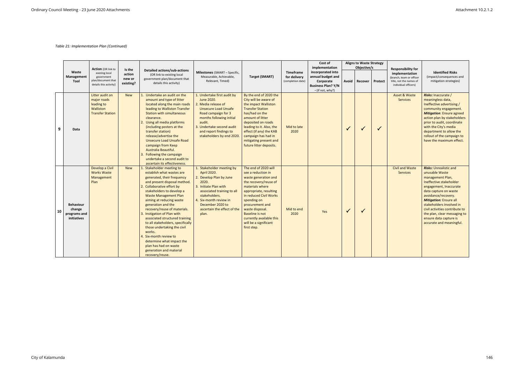|    |                                                           | <b>Action</b> (OR link to                                                            |                                         |                                                                                                                                                                                                                                                                                                                                                                                                                                                                                                                                                                                |                                                                                                                                                                                                                                                  |                                                                                                                                                                                                                                                                                                                       |                                                | Cost of<br>implementation                                                                            |              | <b>Aligns to Waste Strategy</b><br>Objective/s |              | <b>Responsibility for</b>                                                                     |                                                                                                                                                                                                                                                                                                                                                               |
|----|-----------------------------------------------------------|--------------------------------------------------------------------------------------|-----------------------------------------|--------------------------------------------------------------------------------------------------------------------------------------------------------------------------------------------------------------------------------------------------------------------------------------------------------------------------------------------------------------------------------------------------------------------------------------------------------------------------------------------------------------------------------------------------------------------------------|--------------------------------------------------------------------------------------------------------------------------------------------------------------------------------------------------------------------------------------------------|-----------------------------------------------------------------------------------------------------------------------------------------------------------------------------------------------------------------------------------------------------------------------------------------------------------------------|------------------------------------------------|------------------------------------------------------------------------------------------------------|--------------|------------------------------------------------|--------------|-----------------------------------------------------------------------------------------------|---------------------------------------------------------------------------------------------------------------------------------------------------------------------------------------------------------------------------------------------------------------------------------------------------------------------------------------------------------------|
|    | Waste<br>Management<br>Tool                               | existing local<br>government<br>plan/document that<br>details this activity)         | Is the<br>action<br>new or<br>existing? | <b>Detailed actions/sub-actions</b><br>(OR link to existing local<br>government plan/document that<br>details this activity)                                                                                                                                                                                                                                                                                                                                                                                                                                                   | <b>Milestones</b> (SMART - Specific,<br>Measurable, Achievable,<br>Relevant, Timed)                                                                                                                                                              | <b>Target (SMART)</b>                                                                                                                                                                                                                                                                                                 | Timeframe<br>for delivery<br>(completion date) | incorporated into<br>annual budget and<br>Corporate<br><b>Business Plan? Y/N</b><br>- (if not, why?) | Avoid        | <b>Recover</b>                                 | Protect      | implementation<br>(branch, team or officer<br>title, not the names of<br>individual officers) | <b>Identified Risks</b><br>(impact/consequences and<br>mitigation strategies)                                                                                                                                                                                                                                                                                 |
| 9  | Data                                                      | Litter audit on<br>major roads<br>leading to<br>Walliston<br><b>Transfer Station</b> | <b>New</b>                              | 1. Undertake an audit on the<br>amount and type of litter<br>located along the main roads<br>leading to Walliston Transfer<br><b>Station with simultaneous</b><br>clearance.<br>2. Using all media platforms<br>(including posters at the<br>transfer station)<br>release/advertise the<br><b>Unsecure Load Unsafe Road</b><br>campaign from Keep<br>Australia Beautiful.<br>3. Following the campaign<br>undertake a second audit to<br>ascertain its effectiveness.                                                                                                          | 1. Undertake first audit by<br>June 2020.<br>2. Media release of<br><b>Unsecure Load Unsafe</b><br>Road campaign for 3<br>months following initial<br>audit.<br>3. Undertake second audit<br>and report findings to<br>stakeholders by end 2020. | By the end of 2020 the<br>City will be aware of<br>the impact Walliston<br><b>Transfer Station</b><br>has/had on the<br>amount of litter<br>deposited on roads<br>leading to it. Also, the<br>effect (if any) the KAB<br>campaign has had in<br>mitigating present and<br>future litter deposits.                     | Mid to late<br>2020                            |                                                                                                      | $\checkmark$ | $\checkmark$                                   | $\checkmark$ | Asset & Waste<br><b>Services</b>                                                              | <b>Risks: Inaccurate /</b><br>meaningless data,<br>Ineffective advertising /<br>community engagement.<br><b>Mitigation: Ensure agreed</b><br>action plan by stakeholders<br>prior to audit, coordinate<br>with the City's media<br>department to allow the<br>rollout of the campaign to<br>have the maximum effect.                                          |
| 10 | <b>Behaviour</b><br>change<br>programs and<br>initiatives | Develop a Civil<br><b>Works Waste</b><br>Management<br>Plan                          | <b>New</b>                              | 1. Stakeholder meeting to<br>establish what wastes are<br>generated, their frequency<br>and present disposal method.<br>2. Collaborative effort by<br>stakeholders to develop a<br><b>Waste Management Plan</b><br>aiming at reducing waste<br>generation and the<br>recovery/reuse of materials.<br>3. Instigation of Plan with<br>associated structured training<br>to all stakeholders, specifically<br>those undertaking the civil<br>works.<br>4. Six-month review to<br>determine what impact the<br>plan has had on waste<br>generation and material<br>recovery/reuse. | 1. Stakeholder meeting by<br>April 2020.<br>2. Develop Plan by June<br>2020.<br>3. Initiate Plan with<br>associated training to all<br>stakeholders.<br>4. Six-month review in<br>December 2020 to<br>ascertain the effect of the<br>plan.       | The end of 2020 will<br>see a reduction in<br>waste generation and<br>the recovery/reuse of<br>materials where<br>appropriate, resulting<br>in reduced Civil Works<br>spending on<br>procurement and<br>waste disposal.<br><b>Baseline is not</b><br>currently available this<br>will be a significant<br>first step. | Mid to end<br>2020                             | Yes                                                                                                  | $\sqrt{}$    | $\checkmark$                                   |              | <b>Civil and Waste</b><br><b>Services</b>                                                     | <b>Risks: Unrealistic and</b><br>unusable Waste<br>management Plan,<br>Ineffective stakeholder<br>engagement, Inaccurate<br>data capture on waste<br>avoidance/recovery.<br><b>Mitigation: Ensure all</b><br>stakeholders involved in<br>civil activities contribute to<br>the plan, clear messaging to<br>ensure data capture is<br>accurate and meaningful. |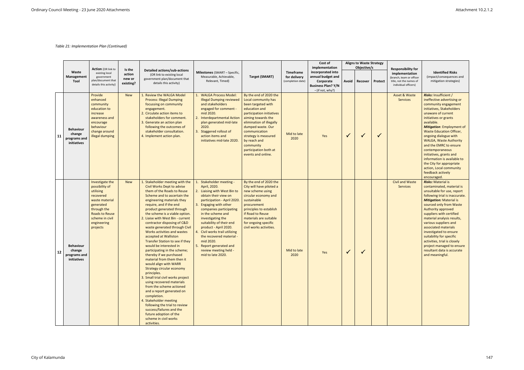|    |                                                           |                                                                                                                                                                                  |                                         |                                                                                                                                                                                                                                                                                                                                                                                                                                                                                                                                                                                                                                                                                                                                                                                                                                                                                                                                                       |                                                                                                                                                                                                                                                                                                                                                                                                                                      |                                                                                                                                                                                                                                                                                                               |                                                | Cost of<br>implementation                                                                            |              | <b>Aligns to Waste Strategy</b><br>Objective/s |              | <b>Responsibility for</b>                                                                     |                                                                                                                                                                                                                                                                                                                                                                                                                                                                                                                 |
|----|-----------------------------------------------------------|----------------------------------------------------------------------------------------------------------------------------------------------------------------------------------|-----------------------------------------|-------------------------------------------------------------------------------------------------------------------------------------------------------------------------------------------------------------------------------------------------------------------------------------------------------------------------------------------------------------------------------------------------------------------------------------------------------------------------------------------------------------------------------------------------------------------------------------------------------------------------------------------------------------------------------------------------------------------------------------------------------------------------------------------------------------------------------------------------------------------------------------------------------------------------------------------------------|--------------------------------------------------------------------------------------------------------------------------------------------------------------------------------------------------------------------------------------------------------------------------------------------------------------------------------------------------------------------------------------------------------------------------------------|---------------------------------------------------------------------------------------------------------------------------------------------------------------------------------------------------------------------------------------------------------------------------------------------------------------|------------------------------------------------|------------------------------------------------------------------------------------------------------|--------------|------------------------------------------------|--------------|-----------------------------------------------------------------------------------------------|-----------------------------------------------------------------------------------------------------------------------------------------------------------------------------------------------------------------------------------------------------------------------------------------------------------------------------------------------------------------------------------------------------------------------------------------------------------------------------------------------------------------|
|    | Waste<br>Management<br>Tool                               | <b>Action</b> (OR link to<br>existing local<br>government<br>plan/document that<br>details this activity)                                                                        | Is the<br>action<br>new or<br>existing? | <b>Detailed actions/sub-actions</b><br>(OR link to existing local<br>government plan/document that<br>details this activity)                                                                                                                                                                                                                                                                                                                                                                                                                                                                                                                                                                                                                                                                                                                                                                                                                          | <b>Milestones</b> (SMART - Specific,<br>Measurable, Achievable,<br>Relevant, Timed)                                                                                                                                                                                                                                                                                                                                                  | Target (SMART)                                                                                                                                                                                                                                                                                                | Timeframe<br>for delivery<br>(completion date) | incorporated into<br>annual budget and<br>Corporate<br><b>Business Plan? Y/N</b><br>- (if not, why?) | Avoid        | Recover                                        | Protect      | implementation<br>(branch, team or officer<br>title, not the names of<br>individual officers) | <b>Identified Risks</b><br>(impact/consequences and<br>mitigation strategies)                                                                                                                                                                                                                                                                                                                                                                                                                                   |
| 11 | <b>Behaviour</b><br>change<br>programs and<br>initiatives | Provide<br>enhanced<br>community<br>education to<br>increase<br>awareness and<br>encourage<br>behaviour<br>change around<br>illegal dumping                                      | <b>New</b>                              | 1. Review the WALGA Model<br><b>Process: Illegal Dumping</b><br>focussing on community<br>engagement.<br>2. Circulate action items to<br>stakeholders for comment.<br>3. Generate an action plan<br>following the outcomes of<br>stakeholder consultation.<br>4. Implement action plan.                                                                                                                                                                                                                                                                                                                                                                                                                                                                                                                                                                                                                                                               | <b>WALGA Process Model:</b><br><b>Illegal Dumping reviewed</b><br>and stakeholders<br>engaged for comment -<br>mid 2020.<br>2. Interdepartmental Action<br>plan generated mid-late<br>2020.<br>3. Staggered rollout of<br>action items and<br>initiatives mid-late 2020.                                                                                                                                                             | By the end of 2020 the<br>Local community has<br>been targeted with<br>education and<br>participation initiatives<br>aiming towards the<br>elimination of illegally<br>dumped waste. Our<br>communication<br>strategy is measured<br>by reach and<br>community<br>participation both at<br>events and online. | Mid to late<br>2020                            | Yes                                                                                                  | $\checkmark$ | $\checkmark$                                   | $\checkmark$ | Asset & Waste<br>Services                                                                     | <b>Risks: Insufficient /</b><br>ineffective advertising or<br>community engagement<br>initiatives, Stakeholders<br>unaware of current<br>initiatives or grants<br>available.<br><b>Mitigation:</b> Employment of<br><b>Waste Education Officer,</b><br>ongoing dialogue with<br><b>WALGA, Waste Authority</b><br>and the EMRC to ensure<br>contemporaneous<br>initiatives, grants and<br>information is available to<br>the City for appropriate<br>action, Local community<br>feedback actively<br>encouraged. |
| 12 | <b>Behaviour</b><br>change<br>programs and<br>initiatives | Investigate the<br>possibility of<br>utilising<br>recovered<br>waste material<br>generated<br>through the<br><b>Roads to Reuse</b><br>scheme in civil<br>engineering<br>projects | <b>New</b>                              | 1. Stakeholder meeting with the<br>Civil Works Dept to advise<br>them of the Roads to Reuse<br>Scheme and to ascertain the<br>engineering materials they<br>require, and if the end<br>product generated through<br>the scheme is a viable option.<br>2. Liaise with West Bin - current<br>contractor disposing of C&D<br>waste generated through Civil<br>Works activities and wastes<br>accepted at Walliston<br><b>Transfer Station to see if they</b><br>would be interested in<br>participating in the scheme;<br>thereby if we purchased<br>material from them then it<br>would align with WARR<br>Strategy circular economy<br>principles.<br>3. Small trial civil works project<br>using recovered materials<br>from the scheme actioned<br>and a report generated on<br>completion.<br>4. Stakeholder meeting<br>following the trial to review<br>success/failures and the<br>future adoption of the<br>scheme in civil works<br>activities. | Stakeholder meeting -<br>April, 2020.<br>2. Liaising with West Bin to<br>obtain their view on<br>participation - April 2020.<br>3. Engaging with other<br>companies participating<br>in the scheme and<br>investigating the<br>suitability of their end<br>product - April 2020.<br>4. Civil works trail utilizing<br>the recovered material -<br>mid 2020.<br>5. Report generated and<br>review meeting held -<br>mid to late 2020. | By the end of 2020 the<br>City will have piloted a<br>new scheme using<br>circular economy and<br>sustainable<br>procurement<br>principles to establish<br>if Road to Reuse<br>materials are suitable<br>for ongoing specific<br>civil works activities.                                                      | Mid to late<br>2020                            | Yes                                                                                                  | $\checkmark$ | $\checkmark$                                   |              | <b>Civil and Waste</b><br><b>Services</b>                                                     | <b>Risks: Material is</b><br>contaminated, material is<br>unsuitable for use, report<br>following trial is inaccurate.<br><b>Mitigation: Material is</b><br>sourced only from Waste<br>Authority approved<br>suppliers with certified<br>material analysis results,<br>various suppliers and<br>associated materials<br>investigated to ensure<br>suitability for specific<br>activities, trial is closely<br>project managed to ensure<br>resultant data is accurate<br>and meaningful.                        |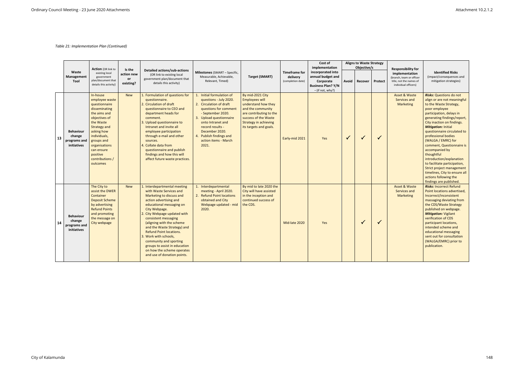|    |                                                           |                                                                                                                                                                                                                                                         |                                                |                                                                                                                                                                                                                                                                                                                                                                                                                                                                   |                                                                                                                                                                                                                                                                                |                                                                                                                                                                                                    |                                                       | Cost of<br>implementation                                                                            |              | <b>Aligns to Waste Strategy</b><br>Objective/s |                |                                                                                                                            |                                                                                                                                                                                                                                                                                                                                                                                                                                                                                                                                                        |
|----|-----------------------------------------------------------|---------------------------------------------------------------------------------------------------------------------------------------------------------------------------------------------------------------------------------------------------------|------------------------------------------------|-------------------------------------------------------------------------------------------------------------------------------------------------------------------------------------------------------------------------------------------------------------------------------------------------------------------------------------------------------------------------------------------------------------------------------------------------------------------|--------------------------------------------------------------------------------------------------------------------------------------------------------------------------------------------------------------------------------------------------------------------------------|----------------------------------------------------------------------------------------------------------------------------------------------------------------------------------------------------|-------------------------------------------------------|------------------------------------------------------------------------------------------------------|--------------|------------------------------------------------|----------------|----------------------------------------------------------------------------------------------------------------------------|--------------------------------------------------------------------------------------------------------------------------------------------------------------------------------------------------------------------------------------------------------------------------------------------------------------------------------------------------------------------------------------------------------------------------------------------------------------------------------------------------------------------------------------------------------|
|    | Waste<br>Management<br>Tool                               | <b>Action</b> (OR link to<br>existing local<br>government<br>plan/document that<br>details this activity)                                                                                                                                               | Is the<br>action new<br><b>or</b><br>existing? | <b>Detailed actions/sub-actions</b><br>(OR link to existing local<br>government plan/document that<br>details this activity)                                                                                                                                                                                                                                                                                                                                      | <b>Milestones</b> (SMART – Specific,<br>Measurable, Achievable,<br>Relevant, Timed)                                                                                                                                                                                            | Target (SMART)                                                                                                                                                                                     | <b>Timeframe for</b><br>delivery<br>(completion date) | incorporated into<br>annual budget and<br>Corporate<br><b>Business Plan? Y/N</b><br>- (if not, why?) | Avoid        | Recover                                        | <b>Protect</b> | <b>Responsibility for</b><br>implementation<br>(branch, team or officer<br>title, not the names of<br>individual officers) | <b>Identified Risks</b><br>(impact/consequences and<br>mitigation strategies)                                                                                                                                                                                                                                                                                                                                                                                                                                                                          |
| 13 | <b>Behaviour</b><br>change<br>programs and<br>initiatives | In-house<br>employee waste<br>questionnaire<br>disseminating<br>the aims and<br>objectives of<br>the Waste<br><b>Strategy and</b><br>asking how<br>individuals,<br>groups and<br>organisations<br>can ensure<br>positive<br>contributions /<br>outcomes | <b>New</b>                                     | 1. Formulation of questions for<br>questionnaire.<br>2. Circulation of draft<br>questionnaire to CEO and<br>department heads for<br>comment.<br>3. Upload questionnaire to<br>Intranet and invite all<br>employee participation<br>through e-mail and other<br>sources.<br>4. Collate data from<br>questionnaire and publish<br>findings and how this will<br>affect future waste practices.                                                                      | 1. Initial formulation of<br>questions - July 2020.<br>2. Circulation of draft<br>questions for comment<br>- September 2020.<br>3. Upload questionnaire<br>onto Intranet and<br>record results -<br>December 2020.<br>4. Publish findings and<br>action items - March<br>2021. | By mid-2021 City<br><b>Employees will</b><br>understand how they<br>and the community<br>are contributing to the<br>success of the Waste<br><b>Strategy in achieving</b><br>its targets and goals. | Early-mid 2021                                        | Yes                                                                                                  | $\checkmark$ | $\checkmark$                                   | $\checkmark$   | Asset & Waste<br>Services and<br><b>Marketing</b>                                                                          | <b>Risks: Questions do not</b><br>align or are not meaningful<br>to the Waste Strategy,<br>poor employee<br>participation, delays in<br>generating findings/report,<br>City inaction on findings.<br><b>Mitigation: Initial</b><br>questionnaire circulated to<br>professional bodies<br>(WALGA / EMRC) for<br>comment, Questionnaire is<br>accompanied by<br>thoughtful<br>introduction/explanation<br>to facilitate participation,<br>Strict project management<br>timelines, City to ensure all<br>actions following the<br>findings are published. |
| 14 | <b>Behaviour</b><br>change<br>programs and<br>initiatives | The City to<br>assist the DWER<br>Container<br><b>Deposit Scheme</b><br>by advertising<br><b>Refund Points</b><br>and promoting<br>the message on<br>City webpage                                                                                       | <b>New</b>                                     | 1. Interdepartmental meeting<br>with Waste Services and<br>Marketing to discuss and<br>action advertising and<br>educational messaging on<br>City Webpage.<br>2. City Webpage updated with<br>consistent messaging<br>(aligning with the scheme<br>and the Waste Strategy) and<br><b>Refund Point locations.</b><br>3. Work with schools,<br>community and sporting<br>groups to assist in education<br>on how the scheme operates<br>and use of donation points. | 1. Interdepartmental<br>meeting - April 2020.<br>2. Refund Point locations<br>obtained and City<br>Webpage updated - mid<br>2020.                                                                                                                                              | By mid to late 2020 the<br>City will have assisted<br>in the inception and<br>continued success of<br>the CDS.                                                                                     | Mid-late 2020                                         | Yes                                                                                                  |              | ✓                                              | ✓              | Asset & Waste<br>Services and<br><b>Marketing</b>                                                                          | <b>Risks: Incorrect Refund</b><br>Point locations advertised,<br>Incorrect/inconsistent<br>massaging deviating from<br>the CDS/Waste Strategy<br>published on webpage.<br><b>Mitigation: Vigilant</b><br>verification of CDS<br>participant locations,<br>intended scheme and<br>educational messaging<br>sent out for consultation<br>(WALGA/EMRC) prior to<br>publication.                                                                                                                                                                           |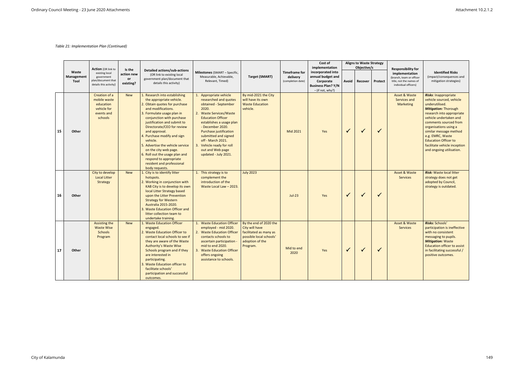|    |                                    | <b>Action</b> (OR link to                                                          |                                         |                                                                                                                                                                                                                                                                                                                                                                                                                                                                              |                                                                                                                                                                                                                                                                                                                                         |                                                                                                                              |                                                       | Cost of<br>implementation                                                                            |              | <b>Aligns to Waste Strategy</b><br>Objective/s |                | <b>Responsibility for</b>                                                                     |                                                                                                                                                                                                                                                                                                                                                            |
|----|------------------------------------|------------------------------------------------------------------------------------|-----------------------------------------|------------------------------------------------------------------------------------------------------------------------------------------------------------------------------------------------------------------------------------------------------------------------------------------------------------------------------------------------------------------------------------------------------------------------------------------------------------------------------|-----------------------------------------------------------------------------------------------------------------------------------------------------------------------------------------------------------------------------------------------------------------------------------------------------------------------------------------|------------------------------------------------------------------------------------------------------------------------------|-------------------------------------------------------|------------------------------------------------------------------------------------------------------|--------------|------------------------------------------------|----------------|-----------------------------------------------------------------------------------------------|------------------------------------------------------------------------------------------------------------------------------------------------------------------------------------------------------------------------------------------------------------------------------------------------------------------------------------------------------------|
|    | Waste<br>Management<br><b>Tool</b> | existing local<br>government<br>plan/document that<br>details this activity)       | Is the<br>action new<br>or<br>existing? | <b>Detailed actions/sub-actions</b><br>(OR link to existing local<br>government plan/document that<br>details this activity)                                                                                                                                                                                                                                                                                                                                                 | <b>Milestones</b> (SMART - Specific,<br>Measurable, Achievable,<br>Relevant, Timed)                                                                                                                                                                                                                                                     | <b>Target (SMART)</b>                                                                                                        | <b>Timeframe for</b><br>delivery<br>(completion date) | incorporated into<br>annual budget and<br>Corporate<br><b>Business Plan? Y/N</b><br>- (if not, why?) | Avoid        | <b>Recover</b>                                 | <b>Protect</b> | implementation<br>(branch, team or officer<br>title, not the names of<br>individual officers) | <b>Identified Risks</b><br>(impact/consequences and<br>mitigation strategies)                                                                                                                                                                                                                                                                              |
| 15 | Other                              | Creation of a<br>mobile waste<br>education<br>vehicle for<br>events and<br>schools | <b>New</b>                              | 1. Research into establishing<br>the appropriate vehicle.<br>2. Obtain quotes for purchase<br>and modifications.<br>3. Formulate usage plan in<br>conjunction with purchase<br>justification and submit to<br>Directorate/CEO for review<br>and approval.<br>4. Purchase modify and sign<br>vehicle.<br>5. Advertise the vehicle service<br>on the city web page.<br>6. Roll out the usage plan and<br>respond to appropriate<br>resident and professional<br>body requests. | 1. Appropriate vehicle<br>researched and quotes<br>obtained - September<br>2020.<br>2. Waste Services/Waste<br><b>Education Officer</b><br>establishes a usage plan<br>- December 2020.<br>Purchase justification<br>submitted and signed<br>off - March 2021.<br>3. Vehicle ready for roll<br>out and Web page<br>updated - July 2021. | By mid-2021 the City<br>will have its own<br><b>Waste Education</b><br>vehicle.                                              | Mid 2021                                              | Yes                                                                                                  | $\checkmark$ | $\checkmark$                                   | $\checkmark$   | <b>Asset &amp; Waste</b><br>Services and<br><b>Marketing</b>                                  | <b>Risks: Inappropriate</b><br>vehicle sourced, vehicle<br>underutilised.<br><b>Mitigation: Thorough</b><br>research into appropriate<br>vehicle undertaken and<br>comments sourced from<br>organisations using a<br>similar message method<br>e.g. EMRC, Waste<br><b>Education Officer to</b><br>facilitate vehicle inception<br>and ongoing utilisation. |
| 16 | Other                              | City to develop<br><b>Local Litter</b><br><b>Strategy</b>                          | <b>New</b>                              | 1. City is to identify litter<br>hotspots.<br>2. Working in conjunction with<br>KAB City is to develop its own<br>local Litter Strategy based<br>upon the Litter Prevention<br><b>Strategy for Western</b><br>Australia 2015-2020.<br>3. Waste Education Officer and<br>litter collection team to<br>undertake training.                                                                                                                                                     | 1. This strategy is to<br>complement the<br>introduction of the<br>Waste Local Law - 2023.                                                                                                                                                                                                                                              | <b>July 2023</b>                                                                                                             | $Jul-23$                                              | Yes                                                                                                  | $\checkmark$ | $\checkmark$                                   | $\checkmark$   | <b>Asset &amp; Waste</b><br><b>Services</b>                                                   | <b>Risk:</b> Waste local litter<br>strategy does not get<br>adopted by Council,<br>strategy is outdated.                                                                                                                                                                                                                                                   |
| 17 | Other                              | Assisting the<br><b>Waste Wise</b><br><b>Schools</b><br>Program                    | <b>New</b>                              | 1. Waste Education Officer<br>engaged.<br>2. Waste Education Officer to<br>contact local schools to see if<br>they are aware of the Waste<br><b>Authority's Waste Wise</b><br>Schools program and if they<br>are interested in<br>participating.<br>3. Waste Education officer to<br>facilitate schools'<br>participation and successful<br>outcomes.                                                                                                                        | 1. Waste Education Officer<br>employed - mid 2020.<br>2. Waste Education Officer<br>contacts schools to<br>ascertain participation -<br>mid to end 2020.<br>3. Waste Education Officer<br>offers ongoing<br>assistance to schools.                                                                                                      | By the end of 2020 the<br>City will have<br>facilitated as many as<br>possible local schools'<br>adoption of the<br>Program. | Mid to end<br>2020                                    | Yes                                                                                                  | $\checkmark$ | $\checkmark$                                   | $\checkmark$   | <b>Asset &amp; Waste</b><br><b>Services</b>                                                   | Risks: Schools'<br>participation is ineffective<br>with no consistent<br>messaging to pupils.<br><b>Mitigation: Waste</b><br><b>Education officer to assist</b><br>in facilitating successful /<br>positive outcomes.                                                                                                                                      |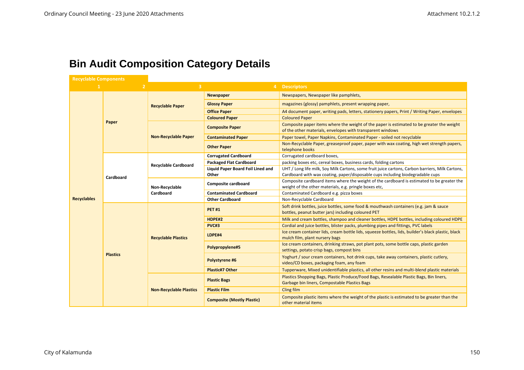# **Bin Audit Composition Category Details**

| <b>Recyclable Components</b> |                 |                                |                                            |                                                                                                                                                                                    |
|------------------------------|-----------------|--------------------------------|--------------------------------------------|------------------------------------------------------------------------------------------------------------------------------------------------------------------------------------|
|                              |                 | 3                              |                                            | 4 Descriptors                                                                                                                                                                      |
|                              |                 |                                | <b>Newspaper</b>                           | Newspapers, Newspaper like pamphlets,                                                                                                                                              |
|                              |                 | <b>Recyclable Paper</b>        | <b>Glossy Paper</b>                        | magazines (glossy) pamphlets, present wrapping paper,                                                                                                                              |
|                              |                 |                                | <b>Office Paper</b>                        | A4 document paper, writing pads, letters, stationery papers, Print / Writing Paper, envelopes                                                                                      |
|                              |                 |                                | <b>Coloured Paper</b>                      | <b>Coloured Paper</b>                                                                                                                                                              |
|                              | Paper           |                                | <b>Composite Paper</b>                     | Composite paper items where the weight of the paper is estimated to be greater the weight<br>of the other materials, envelopes with transparent windows                            |
|                              |                 | <b>Non-Recyclable Paper</b>    | <b>Contaminated Paper</b>                  | Paper towel, Paper Napkins, Contaminated Paper - soiled not recyclable                                                                                                             |
|                              |                 |                                | <b>Other Paper</b>                         | Non-Recyclable Paper, greaseproof paper, paper with wax coating, high wet strength papers,<br>telephone books                                                                      |
|                              |                 |                                | <b>Corrugated Cardboard</b>                | Corrugated cardboard boxes,                                                                                                                                                        |
|                              |                 | <b>Recyclable Cardboard</b>    | <b>Packaged Flat Cardboard</b>             | packing boxes etc, cereal boxes, business cards, folding cartons                                                                                                                   |
|                              | Cardboard       | Non-Recyclable<br>Cardboard    | Liquid Paper Board Foil Lined and<br>Other | UHT / Long life milk, Soy Milk Cartons, some fruit juice cartons, Carbon barriers, Milk Cartons,<br>Cardboard with wax coating, paper/disposable cups including biodegradable cups |
|                              |                 |                                | <b>Composite cardboard</b>                 | Composite cardboard items where the weight of the cardboard is estimated to be greater the<br>weight of the other materials, e.g. pringle boxes etc,                               |
|                              |                 |                                | <b>Contaminated Cardboard</b>              | Contaminated Cardboard e.g. pizza boxes                                                                                                                                            |
| <b>Recyclables</b>           |                 |                                | <b>Other Cardboard</b>                     | Non-Recyclable Cardboard                                                                                                                                                           |
|                              |                 |                                | <b>PET#1</b>                               | Soft drink bottles, juice bottles, some food & mouthwash containers (e.g. jam & sauce<br>bottles, peanut butter jars) including coloured PET                                       |
|                              |                 |                                | HDPE#2                                     | Milk and cream bottles, shampoo and cleaner bottles, HDPE bottles, including coloured HDPE                                                                                         |
|                              |                 |                                | PVC#3                                      | Cordial and juice bottles, blister packs, plumbing pipes and fittings, PVC labels                                                                                                  |
|                              |                 | <b>Recyclable Plastics</b>     | LDPE#4                                     | Ice cream container lids, cream bottle lids, squeeze bottles, lids, builder's black plastic, black<br>mulch film, plant nursery bags                                               |
|                              |                 |                                | Polypropylene#5                            | Ice cream containers, drinking straws, pot plant pots, some bottle caps, plastic garden<br>settings, potato crisp bags, compost bins                                               |
|                              | <b>Plastics</b> |                                | Polystyrene #6                             | Yoghurt / sour cream containers, hot drink cups, take away containers, plastic cutlery,<br>video/CD boxes, packaging foam, any foam                                                |
|                              |                 |                                | <b>Plastic#7 Other</b>                     | Tupperware, Mixed unidentifiable plastics, all other resins and multi-blend plastic materials                                                                                      |
|                              |                 |                                | <b>Plastic Bags</b>                        | Plastics Shopping Bags, Plastic Produce/Food Bags, Resealable Plastic Bags, Bin liners,<br>Garbage bin liners, Compostable Plastics Bags                                           |
|                              |                 | <b>Non-Recyclable Plastics</b> | <b>Plastic Film</b>                        | <b>Cling film</b>                                                                                                                                                                  |
|                              |                 |                                | <b>Composite (Mostly Plastic)</b>          | Composite plastic items where the weight of the plastic is estimated to be greater than the<br>other material items                                                                |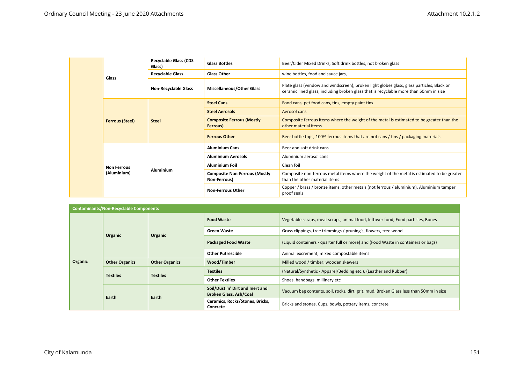|                        | <b>Recyclable Glass (CDS</b><br>Glass) | <b>Glass Bottles</b>                                 | Beer/Cider Mixed Drinks, Soft drink bottles, not broken glass                                                                                                                      |
|------------------------|----------------------------------------|------------------------------------------------------|------------------------------------------------------------------------------------------------------------------------------------------------------------------------------------|
| Glass                  | <b>Recyclable Glass</b>                | <b>Glass Other</b>                                   | wine bottles, food and sauce jars,                                                                                                                                                 |
|                        | <b>Non-Recyclable Glass</b>            | <b>Miscellaneous/Other Glass</b>                     | Plate glass (window and windscreen), broken light globes glass, glass particles, Black or<br>ceramic lined glass, including broken glass that is recyclable more than 50mm in size |
|                        |                                        | <b>Steel Cans</b>                                    | Food cans, pet food cans, tins, empty paint tins                                                                                                                                   |
|                        |                                        | <b>Steel Aerosols</b>                                | Aerosol cans                                                                                                                                                                       |
| <b>Ferrous (Steel)</b> | <b>Steel</b>                           | <b>Composite Ferrous (Mostly</b><br>Ferrous)         | Composite ferrous items where the weight of the metal is estimated to be greater than the<br>other material items                                                                  |
|                        |                                        | <b>Ferrous Other</b>                                 | Beer bottle tops, 100% ferrous items that are not cans / tins / packaging materials                                                                                                |
|                        |                                        | <b>Aluminium Cans</b>                                | Beer and soft drink cans                                                                                                                                                           |
|                        |                                        | <b>Aluminium Aerosols</b>                            | Aluminium aerosol cans                                                                                                                                                             |
| <b>Non Ferrous</b>     |                                        | <b>Aluminium Foil</b>                                | Clean foil                                                                                                                                                                         |
| (Aluminium)            | <b>Aluminium</b>                       | <b>Composite Non-Ferrous (Mostly</b><br>Non-Ferrous) | Composite non-ferrous metal items where the weight of the metal is estimated to be greater<br>than the other material items                                                        |
|                        |                                        | <b>Non-Ferrous Other</b>                             | Copper / brass / bronze items, other metals (not ferrous / aluminium), Aluminium tamper<br>proof seals                                                                             |

|         | <b>Contaminants/Non-Recyclable Components</b> |                       |                                                                   |                                                                                        |
|---------|-----------------------------------------------|-----------------------|-------------------------------------------------------------------|----------------------------------------------------------------------------------------|
|         |                                               |                       | <b>Food Waste</b>                                                 | Vegetable scraps, meat scraps, animal food, leftover food, Food particles, Bones       |
|         | Organic                                       | Organic               | <b>Green Waste</b>                                                | Grass clippings, tree trimmings / pruning's, flowers, tree wood                        |
|         |                                               |                       | <b>Packaged Food Waste</b>                                        | (Liquid containers - quarter full or more) and (Food Waste in containers or bags)      |
|         |                                               |                       | <b>Other Putrescible</b>                                          | Animal excrement, mixed compostable items                                              |
| Organic | <b>Other Organics</b>                         | <b>Other Organics</b> | Wood/Timber                                                       | Milled wood / timber, wooden skewers                                                   |
|         |                                               |                       | <b>Textiles</b>                                                   | (Natural/Synthetic - Apparel/Bedding etc.), (Leather and Rubber)                       |
|         | <b>Textiles</b>                               | <b>Textiles</b>       | <b>Other Textiles</b>                                             | Shoes, handbags, millinery etc                                                         |
|         | Earth                                         | Earth                 | Soil/Dust 'n' Dirt and Inert and<br><b>Broken Glass, Ash/Coal</b> | Vacuum bag contents, soil, rocks, dirt, grit, mud, Broken Glass less than 50mm in size |
|         |                                               |                       | Ceramics, Rocks/Stones, Bricks,<br>Concrete                       | Bricks and stones, Cups, bowls, pottery items, concrete                                |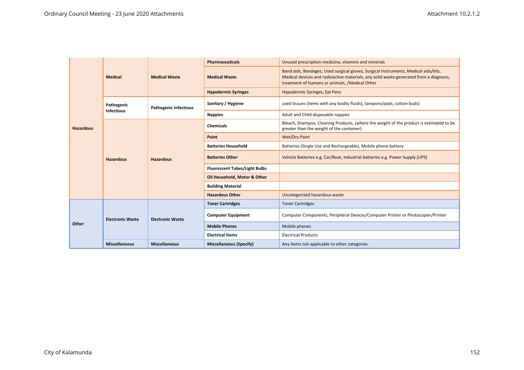|                  |                                 |                              | <b>Pharmaceuticals</b>               | Unused prescription medicine, vitamins and minerals                                                                                                                                                                             |
|------------------|---------------------------------|------------------------------|--------------------------------------|---------------------------------------------------------------------------------------------------------------------------------------------------------------------------------------------------------------------------------|
|                  | <b>Medical</b>                  | <b>Medical Waste</b>         | <b>Medical Waste</b>                 | Band aids, Bandages, Used surgical gloves, Surgical Instruments, Medical aids/kits,<br>Medical devices and radioactive materials, any solid waste generated from a diagnosis,<br>treatment of humans or animals, /Medical Other |
|                  |                                 |                              | <b>Hypodermic Syringes</b>           | Hypodermic Syringes, Epi Pens                                                                                                                                                                                                   |
|                  | Pathogenic<br><b>Infectious</b> | <b>Pathogenic Infectious</b> | Sanitary / Hygiene                   | used tissues (items with any bodily fluids), tampons/pads, cotton buds)                                                                                                                                                         |
|                  |                                 |                              | <b>Nappies</b>                       | Adult and Child disposable nappies                                                                                                                                                                                              |
| <b>Hazardous</b> |                                 |                              | <b>Chemicals</b>                     | Bleach, Shampoo, Cleaning Products, (where the weight of the product is estimated to be<br>greater than the weight of the container)                                                                                            |
|                  |                                 |                              | Paint                                | <b>Wet/Dry Paint</b>                                                                                                                                                                                                            |
|                  |                                 |                              | <b>Batteries Household</b>           | Batteries (Single Use and Rechargeable), Mobile phone battery                                                                                                                                                                   |
|                  | <b>Hazardous</b>                | <b>Hazardous</b>             | <b>Batteries Other</b>               | Vehicle Batteries e.g. Car/Boat, Industrial batteries e.g. Power Supply (UPS)                                                                                                                                                   |
|                  |                                 |                              | <b>Fluorescent Tubes/Light Bulbs</b> |                                                                                                                                                                                                                                 |
|                  |                                 |                              | Oil Household, Motor & Other         |                                                                                                                                                                                                                                 |
|                  |                                 |                              | <b>Building Material</b>             |                                                                                                                                                                                                                                 |
|                  |                                 |                              | <b>Hazardous Other</b>               | Uncategorized hazardous waste                                                                                                                                                                                                   |
|                  |                                 |                              | <b>Toner Cartridges</b>              | <b>Toner Cartridges</b>                                                                                                                                                                                                         |
|                  | <b>Electronic Waste</b>         | <b>Electronic Waste</b>      | <b>Computer Equipment</b>            | Computer Components, Peripheral Devices/Computer Printer or Photocopier/Printer                                                                                                                                                 |
| Other            |                                 |                              | <b>Mobile Phones</b>                 | Mobile phones                                                                                                                                                                                                                   |
|                  |                                 |                              | <b>Electrical Items</b>              | <b>Electrical Products</b>                                                                                                                                                                                                      |
|                  | <b>Miscellaneous</b>            | <b>Miscellaneous</b>         | <b>Miscellaneous (Specify)</b>       | Any items not applicable to other categories                                                                                                                                                                                    |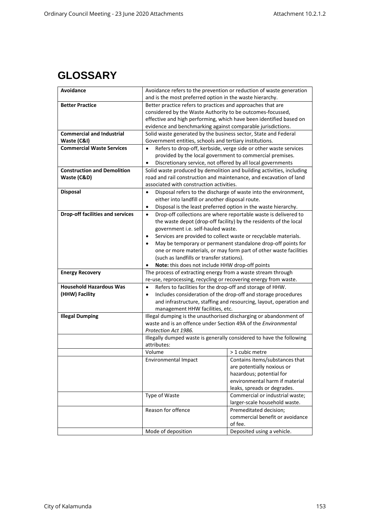## **GLOSSARY**

| Avoidance                               |                                                                          | Avoidance refers to the prevention or reduction of waste generation   |
|-----------------------------------------|--------------------------------------------------------------------------|-----------------------------------------------------------------------|
|                                         | and is the most preferred option in the waste hierarchy.                 |                                                                       |
| <b>Better Practice</b>                  | Better practice refers to practices and approaches that are              |                                                                       |
|                                         | considered by the Waste Authority to be outcomes-focussed,               |                                                                       |
|                                         | effective and high performing, which have been identified based on       |                                                                       |
|                                         | evidence and benchmarking against comparable jurisdictions.              |                                                                       |
| <b>Commercial and Industrial</b>        | Solid waste generated by the business sector, State and Federal          |                                                                       |
| Waste (C&I)                             | Government entities, schools and tertiary institutions.                  |                                                                       |
| <b>Commercial Waste Services</b>        | $\bullet$                                                                | Refers to drop-off, kerbside, verge side or other waste services      |
|                                         | provided by the local government to commercial premises.                 |                                                                       |
|                                         | Discretionary service, not offered by all local governments<br>$\bullet$ |                                                                       |
| <b>Construction and Demolition</b>      |                                                                          | Solid waste produced by demolition and building activities, including |
| Waste (C&D)                             | road and rail construction and maintenance, and excavation of land       |                                                                       |
|                                         | associated with construction activities.                                 |                                                                       |
| <b>Disposal</b>                         | $\bullet$                                                                | Disposal refers to the discharge of waste into the environment,       |
|                                         | either into landfill or another disposal route.                          |                                                                       |
|                                         | $\bullet$                                                                | Disposal is the least preferred option in the waste hierarchy.        |
| <b>Drop-off facilities and services</b> | $\bullet$                                                                | Drop-off collections are where reportable waste is delivered to       |
|                                         |                                                                          | the waste depot (drop-off facility) by the residents of the local     |
|                                         | government i.e. self-hauled waste.                                       |                                                                       |
|                                         | ٠                                                                        | Services are provided to collect waste or recyclable materials.       |
|                                         |                                                                          | May be temporary or permanent standalone drop-off points for          |
|                                         |                                                                          | one or more materials, or may form part of other waste facilities     |
|                                         | (such as landfills or transfer stations).                                |                                                                       |
|                                         | Note: this does not include HHW drop-off points                          |                                                                       |
|                                         |                                                                          |                                                                       |
| <b>Energy Recovery</b>                  | The process of extracting energy from a waste stream through             |                                                                       |
|                                         | re-use, reprocessing, recycling or recovering energy from waste.         |                                                                       |
| <b>Household Hazardous Was</b>          | Refers to facilities for the drop-off and storage of HHW.<br>$\bullet$   |                                                                       |
| (HHW) Facility                          | $\bullet$                                                                | Includes consideration of the drop-off and storage procedures         |
|                                         |                                                                          | and infrastructure, staffing and resourcing, layout, operation and    |
|                                         | management HHW facilities, etc.                                          |                                                                       |
| <b>Illegal Dumping</b>                  | Illegal dumping is the unauthorised discharging or abandonment of        |                                                                       |
|                                         | waste and is an offence under Section 49A of the Environmental           |                                                                       |
|                                         | Protection Act 1986.                                                     |                                                                       |
|                                         | Illegally dumped waste is generally considered to have the following     |                                                                       |
|                                         | attributes:                                                              |                                                                       |
|                                         | Volume                                                                   | > 1 cubic metre                                                       |
|                                         | Environmental Impact                                                     | Contains items/substances that                                        |
|                                         |                                                                          | are potentially noxious or                                            |
|                                         |                                                                          | hazardous; potential for                                              |
|                                         |                                                                          | environmental harm if material                                        |
|                                         |                                                                          | leaks, spreads or degrades.                                           |
|                                         | Type of Waste                                                            | Commercial or industrial waste;                                       |
|                                         |                                                                          | larger-scale household waste.                                         |
|                                         | Reason for offence                                                       | Premeditated decision;                                                |
|                                         |                                                                          | commercial benefit or avoidance                                       |
|                                         | Mode of deposition                                                       | of fee.<br>Deposited using a vehicle.                                 |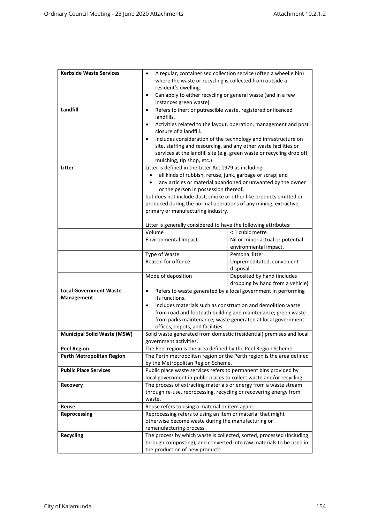| <b>Kerbside Waste Services</b>     | A regular, containerised collection service (often a wheelie bin)<br>where the waste or recycling is collected from outside a<br>resident's dwelling. |                                                                                                                                                                                                              |
|------------------------------------|-------------------------------------------------------------------------------------------------------------------------------------------------------|--------------------------------------------------------------------------------------------------------------------------------------------------------------------------------------------------------------|
|                                    | Can apply to either recycling or general waste (and in a few<br>$\bullet$                                                                             |                                                                                                                                                                                                              |
|                                    | instances green waste).                                                                                                                               |                                                                                                                                                                                                              |
| Landfill                           | Refers to inert or putrescible waste, registered or licenced<br>$\bullet$<br>landfills.                                                               |                                                                                                                                                                                                              |
|                                    | Activities related to the layout, operation, management and post<br>$\bullet$                                                                         |                                                                                                                                                                                                              |
|                                    | closure of a landfill.                                                                                                                                |                                                                                                                                                                                                              |
|                                    | $\bullet$                                                                                                                                             | Includes consideration of the technology and infrastructure on<br>site, staffing and resourcing, and any other waste facilities or<br>services at the landfill site (e.g. green waste or recycling drop off, |
| Litter                             | mulching, tip shop, etc.)<br>Litter is defined in the Litter Act 1979 as including:                                                                   |                                                                                                                                                                                                              |
|                                    | all kinds of rubbish, refuse, junk, garbage or scrap; and                                                                                             |                                                                                                                                                                                                              |
|                                    |                                                                                                                                                       | any articles or material abandoned or unwanted by the owner                                                                                                                                                  |
|                                    | or the person in possession thereof,                                                                                                                  |                                                                                                                                                                                                              |
|                                    | but does not include dust, smoke or other like products emitted or                                                                                    |                                                                                                                                                                                                              |
|                                    | produced during the normal operations of any mining, extractive,                                                                                      |                                                                                                                                                                                                              |
|                                    | primary or manufacturing industry.                                                                                                                    |                                                                                                                                                                                                              |
|                                    |                                                                                                                                                       |                                                                                                                                                                                                              |
|                                    | Litter is generally considered to have the following attributes:<br>Volume                                                                            | < 1 cubic metre                                                                                                                                                                                              |
|                                    | <b>Environmental Impact</b>                                                                                                                           | Nil or minor actual or potential                                                                                                                                                                             |
|                                    |                                                                                                                                                       | environmental impact.                                                                                                                                                                                        |
|                                    | Type of Waste                                                                                                                                         | Personal litter.                                                                                                                                                                                             |
|                                    | Reason for offence                                                                                                                                    | Unpremeditated, convenient<br>disposal.                                                                                                                                                                      |
|                                    | Mode of deposition                                                                                                                                    | Deposited by hand (includes<br>dropping by hand from a vehicle)                                                                                                                                              |
| <b>Local Government Waste</b>      | Refers to waste generated by a local government in performing<br>$\bullet$                                                                            |                                                                                                                                                                                                              |
| Management                         | its functions.                                                                                                                                        |                                                                                                                                                                                                              |
|                                    | Includes materials such as construction and demolition waste<br>$\bullet$                                                                             |                                                                                                                                                                                                              |
|                                    | from road and footpath building and maintenance; green waste<br>from parks maintenance; waste generated at local government                           |                                                                                                                                                                                                              |
|                                    | offices, depots, and facilities.                                                                                                                      |                                                                                                                                                                                                              |
| <b>Municipal Solid Waste (MSW)</b> | Solid waste generated from domestic (residential) premises and local                                                                                  |                                                                                                                                                                                                              |
|                                    | government activities.                                                                                                                                |                                                                                                                                                                                                              |
| <b>Peel Region</b>                 | The Peel region is the area defined by the Peel Region Scheme                                                                                         |                                                                                                                                                                                                              |
| Perth Metropolitan Region          | The Perth metropolitan region or the Perth region is the area defined                                                                                 |                                                                                                                                                                                                              |
|                                    | by the Metropolitan Region Scheme.                                                                                                                    |                                                                                                                                                                                                              |
| <b>Public Place Services</b>       | Public place waste services refers to permanent bins provided by                                                                                      |                                                                                                                                                                                                              |
| <b>Recovery</b>                    | local government in public places to collect waste and/or recycling.<br>The process of extracting materials or energy from a waste stream             |                                                                                                                                                                                                              |
|                                    | through re-use, reprocessing, recycling or recovering energy from                                                                                     |                                                                                                                                                                                                              |
|                                    | waste.                                                                                                                                                |                                                                                                                                                                                                              |
| Reuse                              | Reuse refers to using a material or item again.                                                                                                       |                                                                                                                                                                                                              |
| Reprocessing                       | Reprocessing refers to using an item or material that might                                                                                           |                                                                                                                                                                                                              |
|                                    | otherwise become waste during the manufacturing or                                                                                                    |                                                                                                                                                                                                              |
|                                    | remanufacturing process.                                                                                                                              |                                                                                                                                                                                                              |
| <b>Recycling</b>                   | The process by which waste is collected, sorted, processed (including                                                                                 |                                                                                                                                                                                                              |
|                                    | through composting), and converted into raw materials to be used in<br>the production of new products.                                                |                                                                                                                                                                                                              |